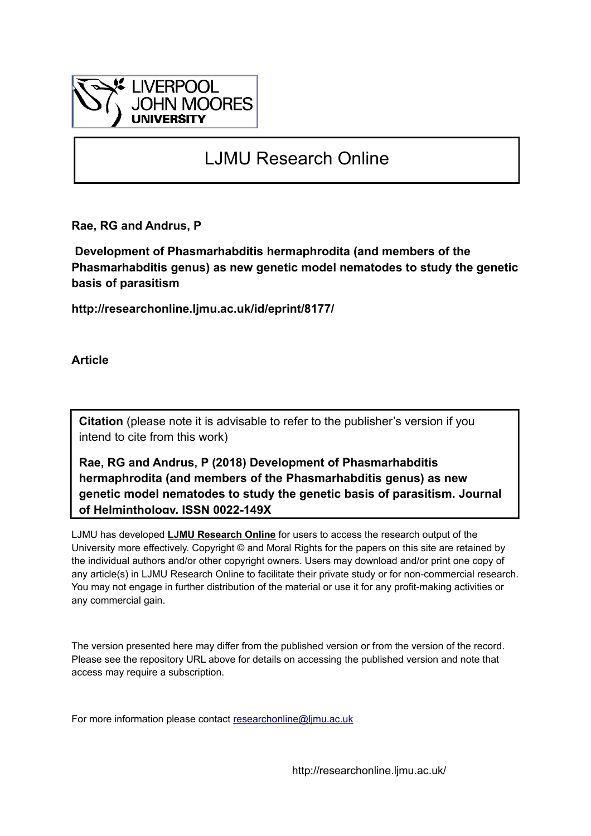

# LJMU Research Online

**Rae, RG and Andrus, P**

 **Development of Phasmarhabditis hermaphrodita (and members of the Phasmarhabditis genus) as new genetic model nematodes to study the genetic basis of parasitism**

**http://researchonline.ljmu.ac.uk/id/eprint/8177/**

**Article**

**Citation** (please note it is advisable to refer to the publisher's version if you intend to cite from this work)

**Rae, RG and Andrus, P (2018) Development of Phasmarhabditis hermaphrodita (and members of the Phasmarhabditis genus) as new genetic model nematodes to study the genetic basis of parasitism. Journal of Helminthology. ISSN 0022-149X** 

LJMU has developed **[LJMU Research Online](http://researchonline.ljmu.ac.uk/)** for users to access the research output of the University more effectively. Copyright © and Moral Rights for the papers on this site are retained by the individual authors and/or other copyright owners. Users may download and/or print one copy of any article(s) in LJMU Research Online to facilitate their private study or for non-commercial research. You may not engage in further distribution of the material or use it for any profit-making activities or any commercial gain.

The version presented here may differ from the published version or from the version of the record. Please see the repository URL above for details on accessing the published version and note that access may require a subscription.

For more information please contact researchonline@limu.ac.uk

http://researchonline.ljmu.ac.uk/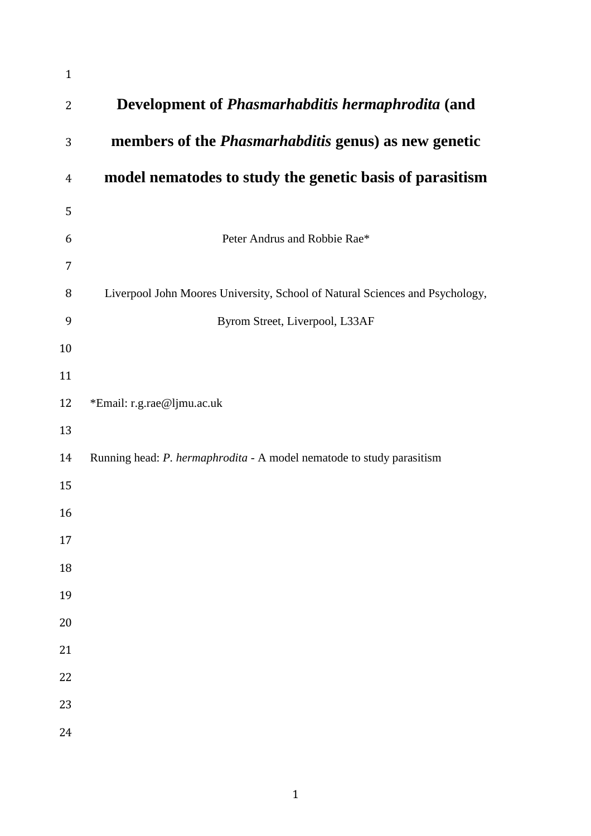| $\mathbf{1}$   |                                                                              |
|----------------|------------------------------------------------------------------------------|
| 2              | Development of <i>Phasmarhabditis hermaphrodita</i> (and                     |
| 3              | members of the <i>Phasmarhabditis</i> genus) as new genetic                  |
| $\overline{4}$ | model nematodes to study the genetic basis of parasitism                     |
| 5              |                                                                              |
| 6              | Peter Andrus and Robbie Rae*                                                 |
| 7              |                                                                              |
| 8              | Liverpool John Moores University, School of Natural Sciences and Psychology, |
| 9              | Byrom Street, Liverpool, L33AF                                               |
| 10             |                                                                              |
| 11             |                                                                              |
| 12             | *Email: r.g.rae@ljmu.ac.uk                                                   |
| 13             |                                                                              |
| 14             | Running head: P. hermaphrodita - A model nematode to study parasitism        |
| 15             |                                                                              |
| 16             |                                                                              |
| $17\,$         |                                                                              |
| 18             |                                                                              |
| 19             |                                                                              |
| 20             |                                                                              |
| 21             |                                                                              |
| 22             |                                                                              |
| 23             |                                                                              |
| 24             |                                                                              |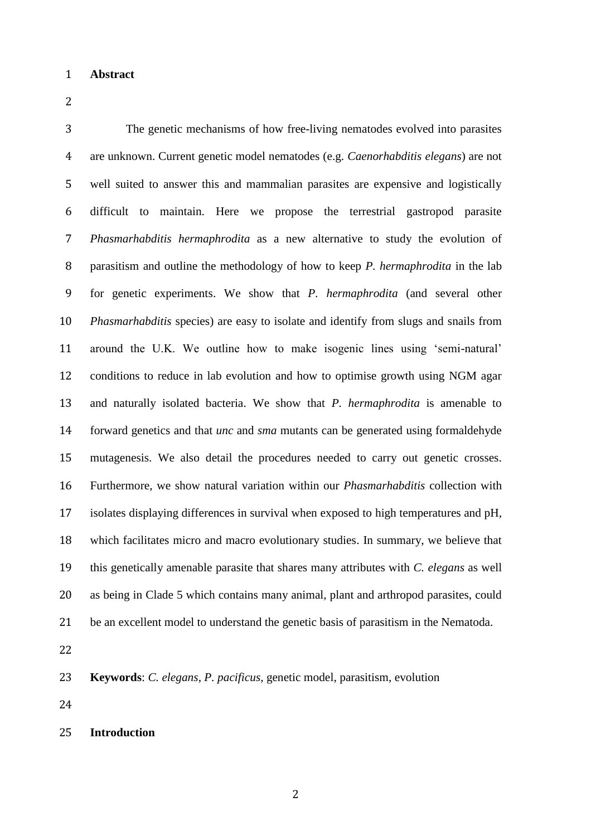The genetic mechanisms of how free-living nematodes evolved into parasites are unknown. Current genetic model nematodes (e.g. *Caenorhabditis elegans*) are not well suited to answer this and mammalian parasites are expensive and logistically difficult to maintain. Here we propose the terrestrial gastropod parasite *Phasmarhabditis hermaphrodita* as a new alternative to study the evolution of parasitism and outline the methodology of how to keep *P. hermaphrodita* in the lab for genetic experiments. We show that *P. hermaphrodita* (and several other *Phasmarhabditis* species) are easy to isolate and identify from slugs and snails from around the U.K. We outline how to make isogenic lines using 'semi-natural' conditions to reduce in lab evolution and how to optimise growth using NGM agar and naturally isolated bacteria. We show that *P. hermaphrodita* is amenable to forward genetics and that *unc* and *sma* mutants can be generated using formaldehyde mutagenesis. We also detail the procedures needed to carry out genetic crosses. Furthermore, we show natural variation within our *Phasmarhabditis* collection with isolates displaying differences in survival when exposed to high temperatures and pH, which facilitates micro and macro evolutionary studies. In summary, we believe that this genetically amenable parasite that shares many attributes with *C. elegans* as well as being in Clade 5 which contains many animal, plant and arthropod parasites, could be an excellent model to understand the genetic basis of parasitism in the Nematoda. 

**Keywords**: *C. elegans*, *P. pacificus*, genetic model, parasitism, evolution

| 25 | <b>Introduction</b> |
|----|---------------------|
|    |                     |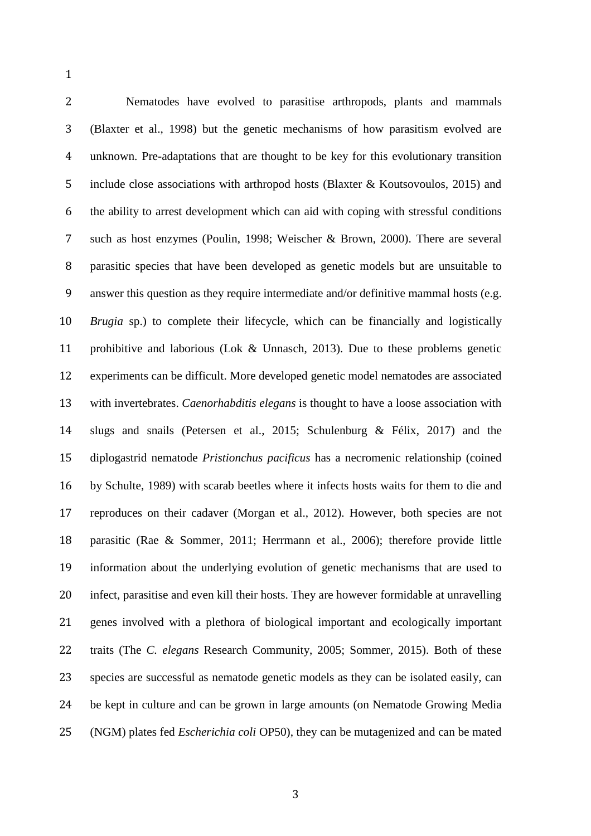Nematodes have evolved to parasitise arthropods, plants and mammals (Blaxter et al., 1998) but the genetic mechanisms of how parasitism evolved are unknown. Pre-adaptations that are thought to be key for this evolutionary transition include close associations with arthropod hosts (Blaxter & Koutsovoulos, 2015) and the ability to arrest development which can aid with coping with stressful conditions such as host enzymes (Poulin, 1998; Weischer & Brown, 2000). There are several parasitic species that have been developed as genetic models but are unsuitable to answer this question as they require intermediate and/or definitive mammal hosts (e.g. *Brugia* sp.) to complete their lifecycle, which can be financially and logistically prohibitive and laborious (Lok & Unnasch, 2013). Due to these problems genetic experiments can be difficult. More developed genetic model nematodes are associated with invertebrates. *Caenorhabditis elegans* is thought to have a loose association with slugs and snails (Petersen et al., 2015; Schulenburg & Félix, 2017) and the diplogastrid nematode *Pristionchus pacificus* has a necromenic relationship (coined by Schulte, 1989) with scarab beetles where it infects hosts waits for them to die and reproduces on their cadaver (Morgan et al., 2012). However, both species are not parasitic (Rae & Sommer, 2011; Herrmann et al., 2006); therefore provide little information about the underlying evolution of genetic mechanisms that are used to infect, parasitise and even kill their hosts. They are however formidable at unravelling genes involved with a plethora of biological important and ecologically important traits (The *C. elegans* Research Community, 2005; Sommer, 2015). Both of these species are successful as nematode genetic models as they can be isolated easily, can be kept in culture and can be grown in large amounts (on Nematode Growing Media (NGM) plates fed *Escherichia coli* OP50), they can be mutagenized and can be mated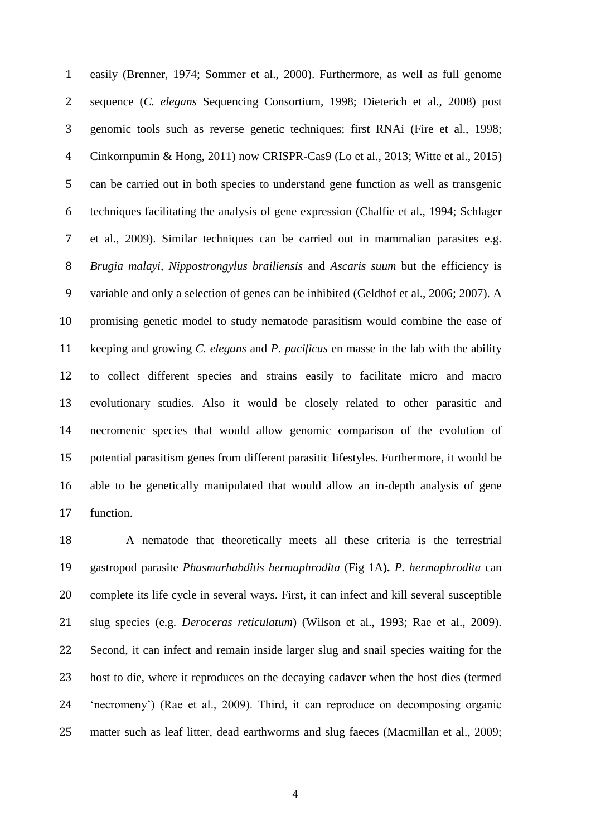easily (Brenner, 1974; Sommer et al., 2000). Furthermore, as well as full genome sequence (*C. elegans* Sequencing Consortium, 1998; Dieterich et al., 2008) post genomic tools such as reverse genetic techniques; first RNAi (Fire et al., 1998; Cinkornpumin & Hong, 2011) now CRISPR-Cas9 (Lo et al., 2013; Witte et al., 2015) can be carried out in both species to understand gene function as well as transgenic techniques facilitating the analysis of gene expression (Chalfie et al., 1994; Schlager et al., 2009). Similar techniques can be carried out in mammalian parasites e.g. *Brugia malayi, Nippostrongylus brailiensis* and *Ascaris suum* but the efficiency is variable and only a selection of genes can be inhibited (Geldhof et al., 2006; 2007). A promising genetic model to study nematode parasitism would combine the ease of keeping and growing *C. elegans* and *P. pacificus* en masse in the lab with the ability to collect different species and strains easily to facilitate micro and macro evolutionary studies. Also it would be closely related to other parasitic and necromenic species that would allow genomic comparison of the evolution of potential parasitism genes from different parasitic lifestyles. Furthermore, it would be able to be genetically manipulated that would allow an in-depth analysis of gene function.

 A nematode that theoretically meets all these criteria is the terrestrial gastropod parasite *Phasmarhabditis hermaphrodita* (Fig 1A**).** *P. hermaphrodita* can complete its life cycle in several ways. First, it can infect and kill several susceptible slug species (e.g. *Deroceras reticulatum*) (Wilson et al., 1993; Rae et al., 2009). Second, it can infect and remain inside larger slug and snail species waiting for the host to die, where it reproduces on the decaying cadaver when the host dies (termed 'necromeny') (Rae et al., 2009). Third, it can reproduce on decomposing organic matter such as leaf litter, dead earthworms and slug faeces (Macmillan et al., 2009;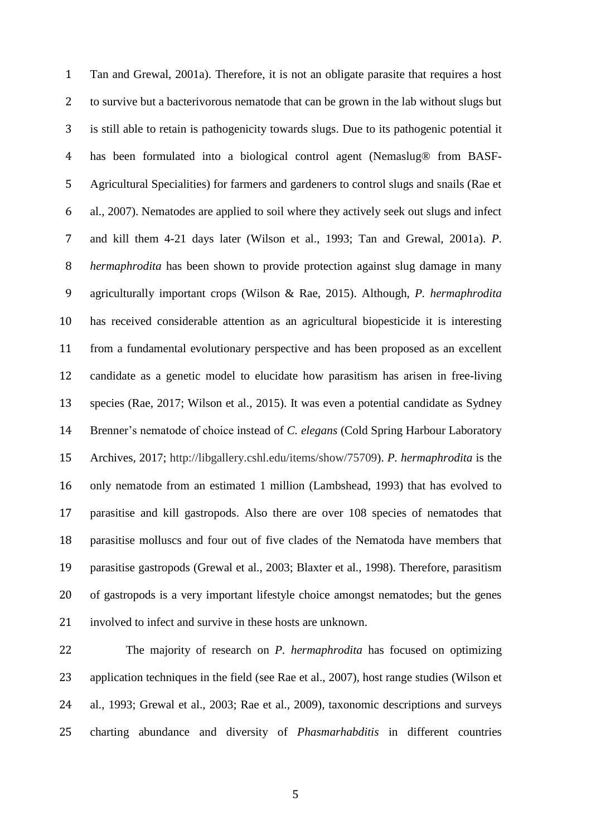Tan and Grewal, 2001a). Therefore, it is not an obligate parasite that requires a host to survive but a bacterivorous nematode that can be grown in the lab without slugs but is still able to retain is pathogenicity towards slugs. Due to its pathogenic potential it has been formulated into a biological control agent (Nemaslug® from BASF- Agricultural Specialities) for farmers and gardeners to control slugs and snails (Rae et al., 2007). Nematodes are applied to soil where they actively seek out slugs and infect and kill them 4-21 days later (Wilson et al., 1993; Tan and Grewal, 2001a). *P. hermaphrodita* has been shown to provide protection against slug damage in many agriculturally important crops (Wilson & Rae, 2015). Although, *P. hermaphrodita* has received considerable attention as an agricultural biopesticide it is interesting from a fundamental evolutionary perspective and has been proposed as an excellent candidate as a genetic model to elucidate how parasitism has arisen in free-living species (Rae, 2017; Wilson et al., 2015). It was even a potential candidate as Sydney Brenner's nematode of choice instead of *C. elegans* (Cold Spring Harbour Laboratory Archives, 2017; http://libgallery.cshl.edu/items/show/75709). *P. hermaphrodita* is the only nematode from an estimated 1 million (Lambshead, 1993) that has evolved to parasitise and kill gastropods. Also there are over 108 species of nematodes that parasitise molluscs and four out of five clades of the Nematoda have members that parasitise gastropods (Grewal et al., 2003; Blaxter et al., 1998). Therefore, parasitism of gastropods is a very important lifestyle choice amongst nematodes; but the genes involved to infect and survive in these hosts are unknown.

 The majority of research on *P. hermaphrodita* has focused on optimizing application techniques in the field (see Rae et al., 2007), host range studies (Wilson et al., 1993; Grewal et al., 2003; Rae et al., 2009), taxonomic descriptions and surveys charting abundance and diversity of *Phasmarhabditis* in different countries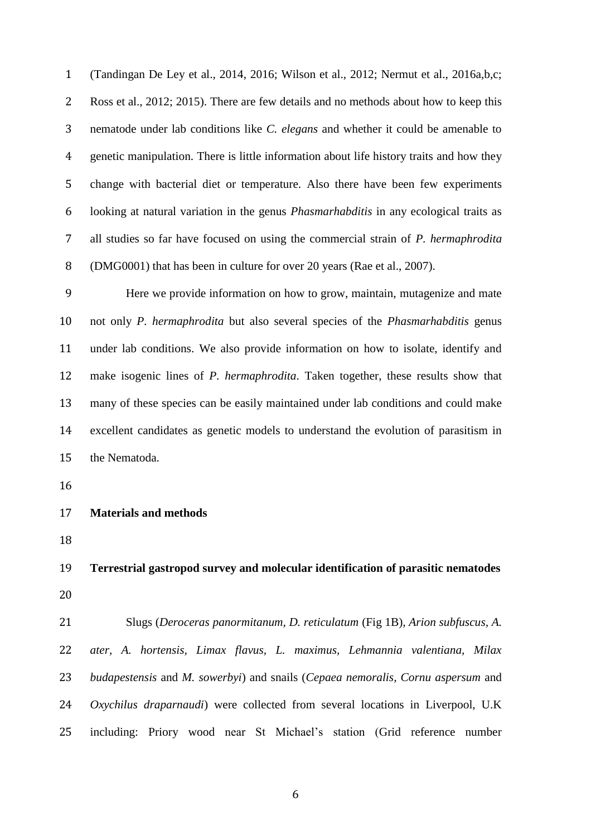(Tandingan De Ley et al., 2014, 2016; Wilson et al., 2012; Nermut et al., 2016a,b,c; Ross et al., 2012; 2015). There are few details and no methods about how to keep this nematode under lab conditions like *C. elegans* and whether it could be amenable to genetic manipulation. There is little information about life history traits and how they change with bacterial diet or temperature. Also there have been few experiments looking at natural variation in the genus *Phasmarhabditis* in any ecological traits as all studies so far have focused on using the commercial strain of *P. hermaphrodita* (DMG0001) that has been in culture for over 20 years (Rae et al., 2007).

 Here we provide information on how to grow, maintain, mutagenize and mate not only *P. hermaphrodita* but also several species of the *Phasmarhabditis* genus under lab conditions. We also provide information on how to isolate, identify and make isogenic lines of *P. hermaphrodita*. Taken together, these results show that many of these species can be easily maintained under lab conditions and could make excellent candidates as genetic models to understand the evolution of parasitism in the Nematoda.

#### **Materials and methods**

## **Terrestrial gastropod survey and molecular identification of parasitic nematodes**

 Slugs (*Deroceras panormitanum, D. reticulatum* (Fig 1B)*, Arion subfuscus, A. ater, A. hortensis, Limax flavus, L. maximus, Lehmannia valentiana, Milax budapestensis* and *M. sowerbyi*) and snails (*Cepaea nemoralis, Cornu aspersum* and *Oxychilus draparnaudi*) were collected from several locations in Liverpool, U.K including: Priory wood near St Michael's station (Grid reference number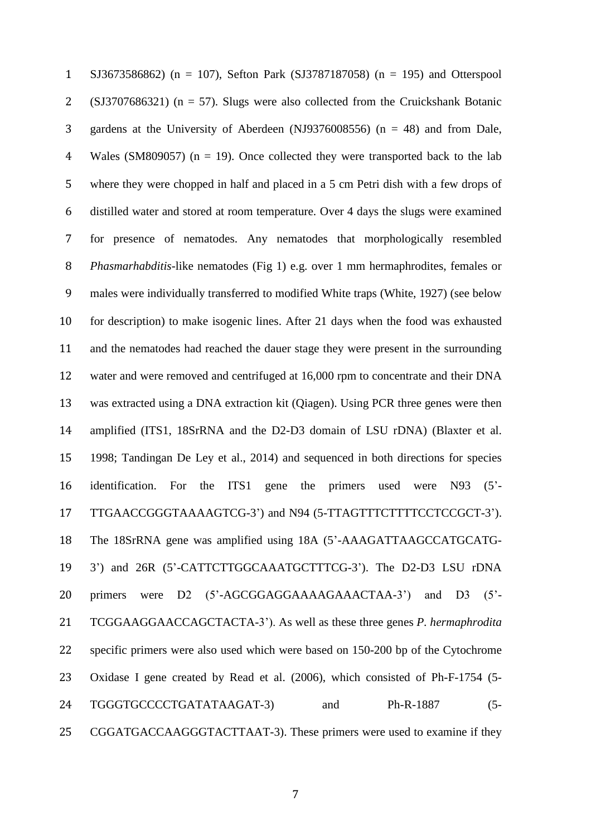SJ3673586862) (n = 107), Sefton Park (SJ3787187058) (n = 195) and Otterspool (SJ3707686321) (n = 57). Slugs were also collected from the Cruickshank Botanic gardens at the University of Aberdeen (NJ9376008556) (n = 48) and from Dale, Wales (SM809057) (n = 19). Once collected they were transported back to the lab where they were chopped in half and placed in a 5 cm Petri dish with a few drops of distilled water and stored at room temperature. Over 4 days the slugs were examined for presence of nematodes. Any nematodes that morphologically resembled *Phasmarhabditis-*like nematodes (Fig 1) e.g. over 1 mm hermaphrodites, females or males were individually transferred to modified White traps (White, 1927) (see below for description) to make isogenic lines. After 21 days when the food was exhausted and the nematodes had reached the dauer stage they were present in the surrounding water and were removed and centrifuged at 16,000 rpm to concentrate and their DNA was extracted using a DNA extraction kit (Qiagen). Using PCR three genes were then amplified (ITS1, 18SrRNA and the D2-D3 domain of LSU rDNA) (Blaxter et al. 1998; Tandingan De Ley et al., 2014) and sequenced in both directions for species identification. For the ITS1 gene the primers used were N93 (5'- TTGAACCGGGTAAAAGTCG-3') and N94 (5-TTAGTTTCTTTTCCTCCGCT-3'). The 18SrRNA gene was amplified using 18A (5'-AAAGATTAAGCCATGCATG- 3') and 26R (5'-CATTCTTGGCAAATGCTTTCG-3'). The D2-D3 LSU rDNA primers were D2 (5'-AGCGGAGGAAAAGAAACTAA-3') and D3 (5'- TCGGAAGGAACCAGCTACTA-3'). As well as these three genes *P. hermaphrodita*  specific primers were also used which were based on 150-200 bp of the Cytochrome Oxidase I gene created by Read et al. (2006), which consisted of Ph-F-1754 (5- TGGGTGCCCCTGATATAAGAT-3) and Ph-R-1887 (5- CGGATGACCAAGGGTACTTAAT-3). These primers were used to examine if they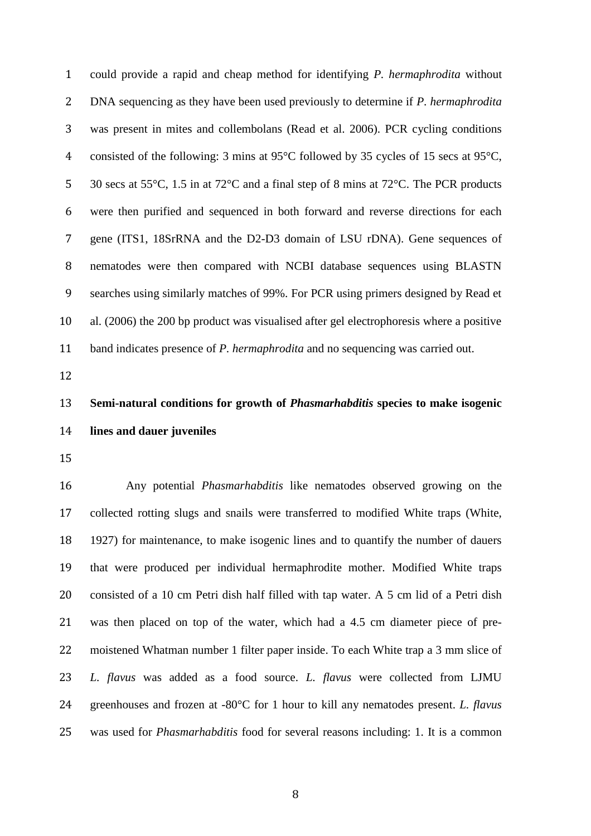could provide a rapid and cheap method for identifying *P. hermaphrodita* without DNA sequencing as they have been used previously to determine if *P. hermaphrodita*  was present in mites and collembolans (Read et al. 2006). PCR cycling conditions consisted of the following: 3 mins at 95°C followed by 35 cycles of 15 secs at 95°C, 5 30 secs at 55°C, 1.5 in at 72°C and a final step of 8 mins at 72°C. The PCR products were then purified and sequenced in both forward and reverse directions for each gene (ITS1, 18SrRNA and the D2-D3 domain of LSU rDNA). Gene sequences of nematodes were then compared with NCBI database sequences using BLASTN searches using similarly matches of 99%. For PCR using primers designed by Read et al. (2006) the 200 bp product was visualised after gel electrophoresis where a positive band indicates presence of *P. hermaphrodita* and no sequencing was carried out.

## **Semi-natural conditions for growth of** *Phasmarhabditis* **species to make isogenic lines and dauer juveniles**

 Any potential *Phasmarhabditis* like nematodes observed growing on the collected rotting slugs and snails were transferred to modified White traps (White, 1927) for maintenance, to make isogenic lines and to quantify the number of dauers that were produced per individual hermaphrodite mother. Modified White traps consisted of a 10 cm Petri dish half filled with tap water. A 5 cm lid of a Petri dish was then placed on top of the water, which had a 4.5 cm diameter piece of pre- moistened Whatman number 1 filter paper inside. To each White trap a 3 mm slice of *L. flavus* was added as a food source. *L. flavus* were collected from LJMU greenhouses and frozen at -80°C for 1 hour to kill any nematodes present. *L. flavus* was used for *Phasmarhabditis* food for several reasons including: 1. It is a common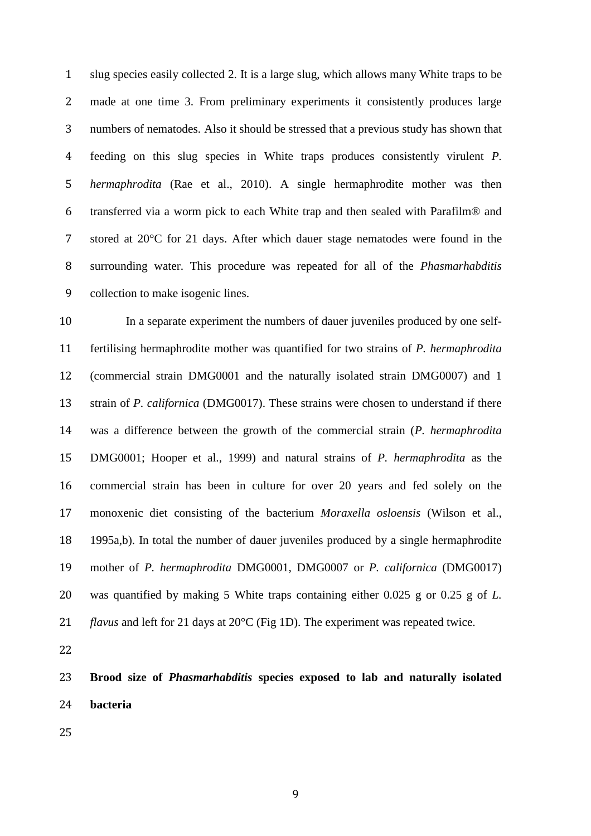slug species easily collected 2. It is a large slug, which allows many White traps to be made at one time 3. From preliminary experiments it consistently produces large numbers of nematodes. Also it should be stressed that a previous study has shown that feeding on this slug species in White traps produces consistently virulent *P. hermaphrodita* (Rae et al., 2010). A single hermaphrodite mother was then transferred via a worm pick to each White trap and then sealed with Parafilm® and stored at 20°C for 21 days. After which dauer stage nematodes were found in the surrounding water. This procedure was repeated for all of the *Phasmarhabditis*  collection to make isogenic lines.

 In a separate experiment the numbers of dauer juveniles produced by one self- fertilising hermaphrodite mother was quantified for two strains of *P. hermaphrodita* (commercial strain DMG0001 and the naturally isolated strain DMG0007) and 1 strain of *P. californica* (DMG0017). These strains were chosen to understand if there was a difference between the growth of the commercial strain (*P. hermaphrodita* DMG0001; Hooper et al., 1999) and natural strains of *P. hermaphrodita* as the commercial strain has been in culture for over 20 years and fed solely on the monoxenic diet consisting of the bacterium *Moraxella osloensis* (Wilson et al., 1995a,b). In total the number of dauer juveniles produced by a single hermaphrodite mother of *P. hermaphrodita* DMG0001, DMG0007 or *P. californica* (DMG0017) was quantified by making 5 White traps containing either 0.025 g or 0.25 g of *L. flavus* and left for 21 days at 20°C (Fig 1D). The experiment was repeated twice.

 **Brood size of** *Phasmarhabditis* **species exposed to lab and naturally isolated bacteria**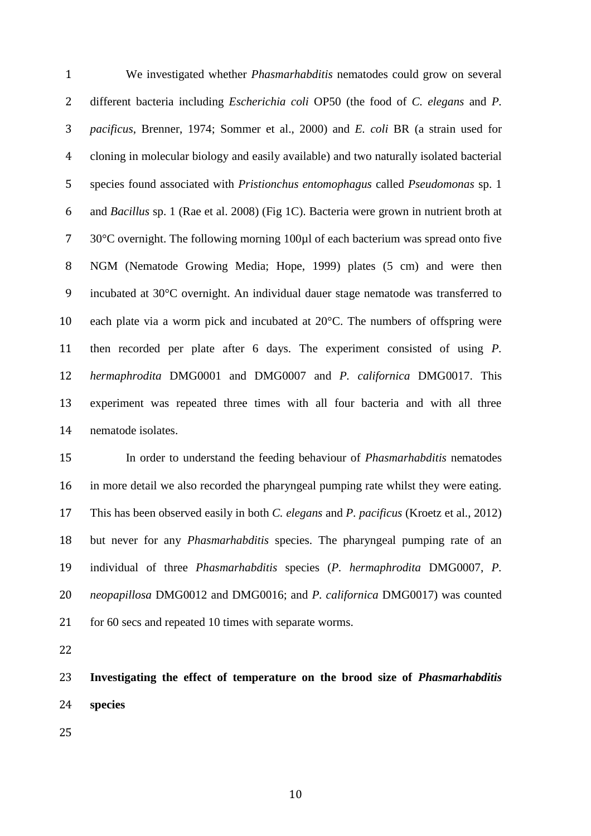We investigated whether *Phasmarhabditis* nematodes could grow on several different bacteria including *Escherichia coli* OP50 (the food of *C. elegans* and *P. pacificus*, Brenner, 1974; Sommer et al., 2000) and *E. coli* BR (a strain used for cloning in molecular biology and easily available) and two naturally isolated bacterial species found associated with *Pristionchus entomophagus* called *Pseudomonas* sp. 1 and *Bacillus* sp. 1 (Rae et al. 2008) (Fig 1C). Bacteria were grown in nutrient broth at 30°C overnight. The following morning 100µl of each bacterium was spread onto five NGM (Nematode Growing Media; Hope, 1999) plates (5 cm) and were then incubated at 30°C overnight. An individual dauer stage nematode was transferred to each plate via a worm pick and incubated at 20°C. The numbers of offspring were then recorded per plate after 6 days. The experiment consisted of using *P. hermaphrodita* DMG0001 and DMG0007 and *P. californica* DMG0017. This experiment was repeated three times with all four bacteria and with all three nematode isolates.

 In order to understand the feeding behaviour of *Phasmarhabditis* nematodes in more detail we also recorded the pharyngeal pumping rate whilst they were eating. This has been observed easily in both *C. elegans* and *P. pacificus* (Kroetz et al., 2012) but never for any *Phasmarhabditis* species. The pharyngeal pumping rate of an individual of three *Phasmarhabditis* species (*P. hermaphrodita* DMG0007, *P. neopapillosa* DMG0012 and DMG0016; and *P. californica* DMG0017) was counted for 60 secs and repeated 10 times with separate worms.

 **Investigating the effect of temperature on the brood size of** *Phasmarhabditis* **species**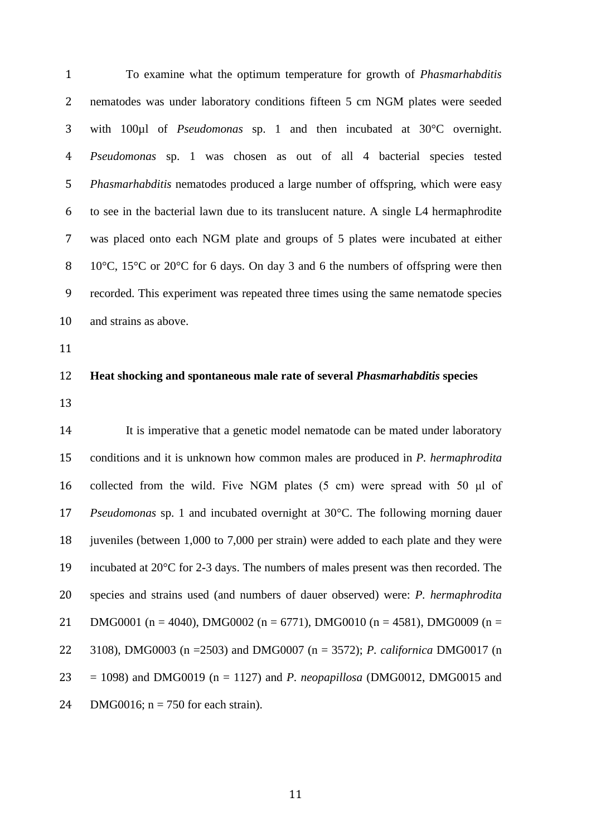To examine what the optimum temperature for growth of *Phasmarhabditis*  nematodes was under laboratory conditions fifteen 5 cm NGM plates were seeded with 100µl of *Pseudomonas* sp. 1 and then incubated at 30°C overnight. *Pseudomonas* sp. 1 was chosen as out of all 4 bacterial species tested *Phasmarhabditis* nematodes produced a large number of offspring, which were easy to see in the bacterial lawn due to its translucent nature. A single L4 hermaphrodite was placed onto each NGM plate and groups of 5 plates were incubated at either 8 10°C, 15°C or 20°C for 6 days. On day 3 and 6 the numbers of offspring were then recorded. This experiment was repeated three times using the same nematode species and strains as above.

#### **Heat shocking and spontaneous male rate of several** *Phasmarhabditis* **species**

 It is imperative that a genetic model nematode can be mated under laboratory conditions and it is unknown how common males are produced in *P. hermaphrodita* collected from the wild. Five NGM plates (5 cm) were spread with 50 μl of *Pseudomonas* sp. 1 and incubated overnight at 30°C. The following morning dauer juveniles (between 1,000 to 7,000 per strain) were added to each plate and they were incubated at 20°C for 2-3 days. The numbers of males present was then recorded. The species and strains used (and numbers of dauer observed) were: *P. hermaphrodita*  21 DMG0001 (n = 4040), DMG0002 (n = 6771), DMG0010 (n = 4581), DMG0009 (n = 3108), DMG0003 (n =2503) and DMG0007 (n = 3572); *P. californica* DMG0017 (n = 1098) and DMG0019 (n = 1127) and *P. neopapillosa* (DMG0012, DMG0015 and 24 DMG0016;  $n = 750$  for each strain).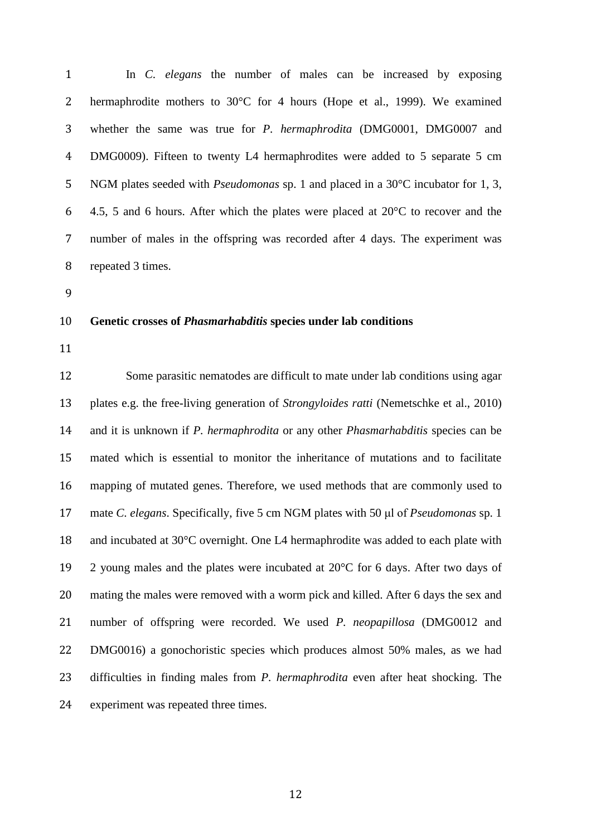In *C. elegans* the number of males can be increased by exposing hermaphrodite mothers to 30°C for 4 hours (Hope et al., 1999). We examined whether the same was true for *P. hermaphrodita* (DMG0001, DMG0007 and DMG0009). Fifteen to twenty L4 hermaphrodites were added to 5 separate 5 cm NGM plates seeded with *Pseudomonas* sp. 1 and placed in a 30°C incubator for 1, 3, 6 4.5, 5 and 6 hours. After which the plates were placed at  $20^{\circ}$ C to recover and the number of males in the offspring was recorded after 4 days. The experiment was repeated 3 times. **Genetic crosses of** *Phasmarhabditis* **species under lab conditions** Some parasitic nematodes are difficult to mate under lab conditions using agar plates e.g. the free-living generation of *Strongyloides ratti* (Nemetschke et al., 2010) and it is unknown if *P. hermaphrodita* or any other *Phasmarhabditis* species can be mated which is essential to monitor the inheritance of mutations and to facilitate mapping of mutated genes. Therefore, we used methods that are commonly used to mate *C. elegans*. Specifically, five 5 cm NGM plates with 50 μl of *Pseudomonas* sp. 1 and incubated at 30°C overnight. One L4 hermaphrodite was added to each plate with 19 2 young males and the plates were incubated at  $20^{\circ}$ C for 6 days. After two days of mating the males were removed with a worm pick and killed. After 6 days the sex and number of offspring were recorded. We used *P. neopapillosa* (DMG0012 and DMG0016) a gonochoristic species which produces almost 50% males, as we had difficulties in finding males from *P. hermaphrodita* even after heat shocking. The experiment was repeated three times.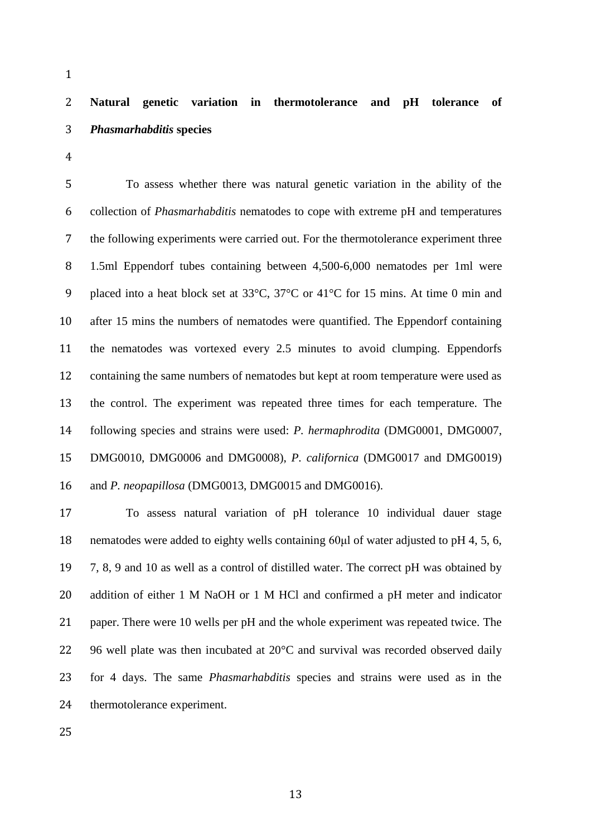## **Natural genetic variation in thermotolerance and pH tolerance of**  *Phasmarhabditis* **species**

 To assess whether there was natural genetic variation in the ability of the collection of *Phasmarhabditis* nematodes to cope with extreme pH and temperatures the following experiments were carried out. For the thermotolerance experiment three 1.5ml Eppendorf tubes containing between 4,500-6,000 nematodes per 1ml were 9 placed into a heat block set at 33°C, 37°C or 41°C for 15 mins. At time 0 min and after 15 mins the numbers of nematodes were quantified. The Eppendorf containing the nematodes was vortexed every 2.5 minutes to avoid clumping. Eppendorfs containing the same numbers of nematodes but kept at room temperature were used as the control. The experiment was repeated three times for each temperature. The following species and strains were used: *P. hermaphrodita* (DMG0001, DMG0007, DMG0010, DMG0006 and DMG0008), *P. californica* (DMG0017 and DMG0019) and *P. neopapillosa* (DMG0013, DMG0015 and DMG0016).

 To assess natural variation of pH tolerance 10 individual dauer stage 18 nematodes were added to eighty wells containing 60μl of water adjusted to pH 4, 5, 6, 7, 8, 9 and 10 as well as a control of distilled water. The correct pH was obtained by addition of either 1 M NaOH or 1 M HCl and confirmed a pH meter and indicator paper. There were 10 wells per pH and the whole experiment was repeated twice. The 22 96 well plate was then incubated at 20°C and survival was recorded observed daily for 4 days. The same *Phasmarhabditis* species and strains were used as in the thermotolerance experiment.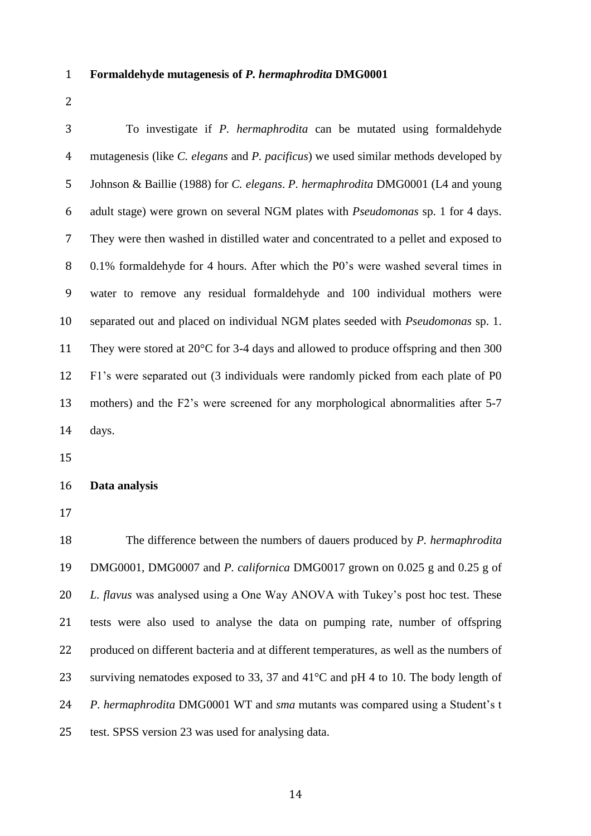#### **Formaldehyde mutagenesis of** *P. hermaphrodita* **DMG0001**

 To investigate if *P. hermaphrodita* can be mutated using formaldehyde mutagenesis (like *C. elegans* and *P. pacificus*) we used similar methods developed by Johnson & Baillie (1988) for *C. elegans*. *P. hermaphrodita* DMG0001 (L4 and young adult stage) were grown on several NGM plates with *Pseudomonas* sp. 1 for 4 days. They were then washed in distilled water and concentrated to a pellet and exposed to 0.1% formaldehyde for 4 hours. After which the P0's were washed several times in water to remove any residual formaldehyde and 100 individual mothers were separated out and placed on individual NGM plates seeded with *Pseudomonas* sp. 1. They were stored at 20°C for 3-4 days and allowed to produce offspring and then 300 F1's were separated out (3 individuals were randomly picked from each plate of P0 mothers) and the F2's were screened for any morphological abnormalities after 5-7 days.

### **Data analysis**

 The difference between the numbers of dauers produced by *P. hermaphrodita* DMG0001, DMG0007 and *P. californica* DMG0017 grown on 0.025 g and 0.25 g of *L. flavus* was analysed using a One Way ANOVA with Tukey's post hoc test. These tests were also used to analyse the data on pumping rate, number of offspring produced on different bacteria and at different temperatures, as well as the numbers of surviving nematodes exposed to 33, 37 and 41°C and pH 4 to 10. The body length of *P. hermaphrodita* DMG0001 WT and *sma* mutants was compared using a Student's t test. SPSS version 23 was used for analysing data.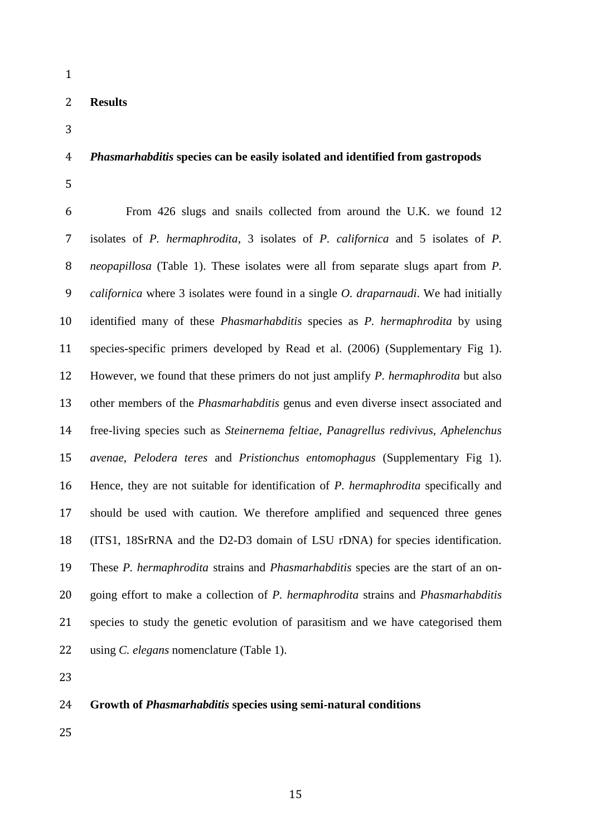## **Results**

#### *Phasmarhabditis* **species can be easily isolated and identified from gastropods**

 From 426 slugs and snails collected from around the U.K. we found 12 isolates of *P. hermaphrodita*, 3 isolates of *P. californica* and 5 isolates of *P. neopapillosa* (Table 1). These isolates were all from separate slugs apart from *P. californica* where 3 isolates were found in a single *O. draparnaudi*. We had initially identified many of these *Phasmarhabditis* species as *P. hermaphrodita* by using species-specific primers developed by Read et al. (2006) (Supplementary Fig 1). However, we found that these primers do not just amplify *P. hermaphrodita* but also other members of the *Phasmarhabditis* genus and even diverse insect associated and free-living species such as *Steinernema feltiae*, *Panagrellus redivivus*, *Aphelenchus avenae*, *Pelodera teres* and *Pristionchus entomophagus* (Supplementary Fig 1). Hence, they are not suitable for identification of *P. hermaphrodita* specifically and should be used with caution. We therefore amplified and sequenced three genes (ITS1, 18SrRNA and the D2-D3 domain of LSU rDNA) for species identification*.* These *P. hermaphrodita* strains and *Phasmarhabditis* species are the start of an on- going effort to make a collection of *P. hermaphrodita* strains and *Phasmarhabditis*  species to study the genetic evolution of parasitism and we have categorised them using *C. elegans* nomenclature (Table 1).

## **Growth of** *Phasmarhabditis* **species using semi-natural conditions**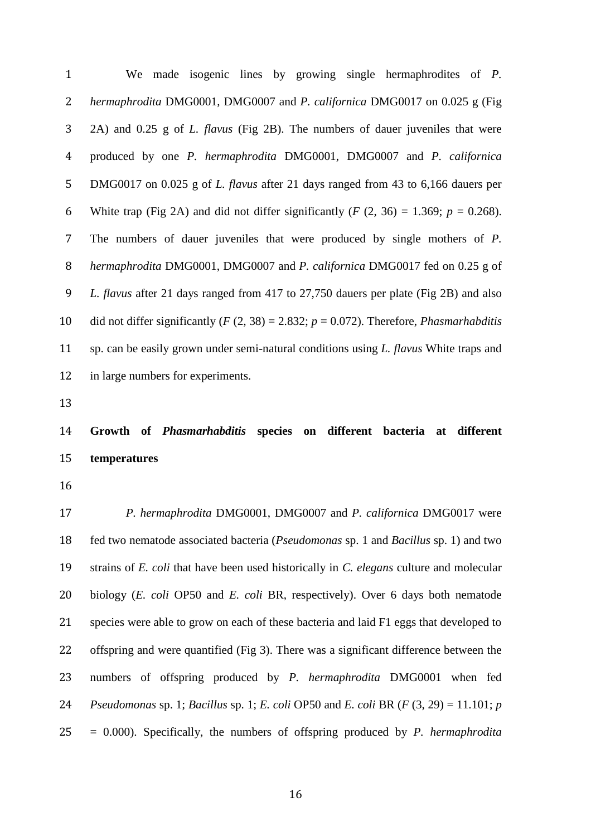We made isogenic lines by growing single hermaphrodites of *P. hermaphrodita* DMG0001, DMG0007 and *P. californica* DMG0017 on 0.025 g (Fig 2A) and 0.25 g of *L. flavus* (Fig 2B). The numbers of dauer juveniles that were produced by one *P. hermaphrodita* DMG0001, DMG0007 and *P. californica* DMG0017 on 0.025 g of *L. flavus* after 21 days ranged from 43 to 6,166 dauers per 6 White trap (Fig 2A) and did not differ significantly  $(F (2, 36) = 1.369; p = 0.268)$ . The numbers of dauer juveniles that were produced by single mothers of *P. hermaphrodita* DMG0001, DMG0007 and *P. californica* DMG0017 fed on 0.25 g of *L. flavus* after 21 days ranged from 417 to 27,750 dauers per plate (Fig 2B) and also 10 did not differ significantly  $(F(2, 38) = 2.832; p = 0.072)$ . Therefore, *Phasmarhabditis*  sp. can be easily grown under semi-natural conditions using *L. flavus* White traps and in large numbers for experiments.

# **Growth of** *Phasmarhabditis* **species on different bacteria at different temperatures**

 *P. hermaphrodita* DMG0001, DMG0007 and *P. californica* DMG0017 were fed two nematode associated bacteria (*Pseudomonas* sp. 1 and *Bacillus* sp. 1) and two strains of *E. coli* that have been used historically in *C. elegans* culture and molecular biology (*E. coli* OP50 and *E. coli* BR, respectively). Over 6 days both nematode species were able to grow on each of these bacteria and laid F1 eggs that developed to offspring and were quantified (Fig 3). There was a significant difference between the numbers of offspring produced by *P. hermaphrodita* DMG0001 when fed *Pseudomonas* sp. 1; *Bacillus* sp. 1; *E. coli* OP50 and *E. coli* BR (*F* (3, 29) = 11.101; *p* = 0.000). Specifically, the numbers of offspring produced by *P. hermaphrodita*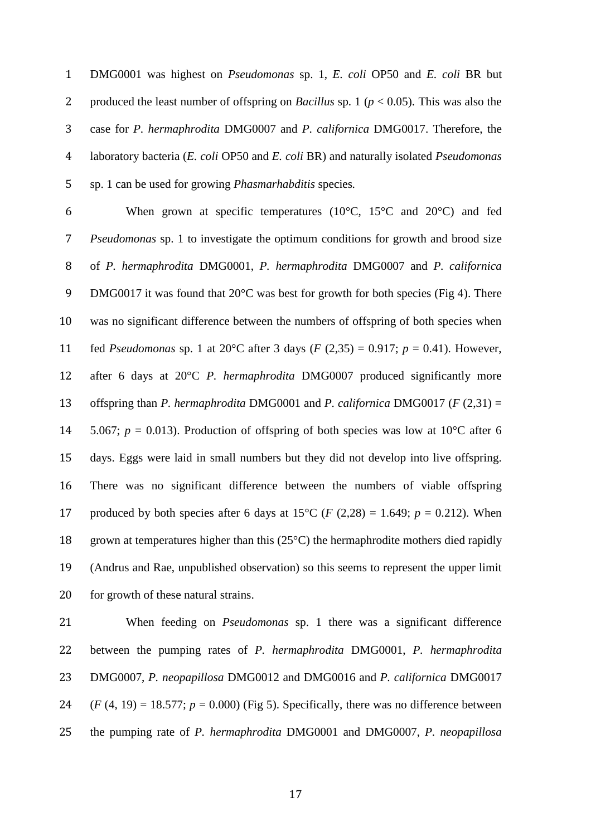DMG0001 was highest on *Pseudomonas* sp. 1, *E. coli* OP50 and *E. coli* BR but produced the least number of offspring on *Bacillus* sp. 1 (*p* < 0.05). This was also the case for *P. hermaphrodita* DMG0007 and *P. californica* DMG0017. Therefore, the laboratory bacteria (*E. coli* OP50 and *E. coli* BR) and naturally isolated *Pseudomonas* sp. 1 can be used for growing *Phasmarhabditis* species*.*

 When grown at specific temperatures (10°C, 15°C and 20°C) and fed *Pseudomonas* sp. 1 to investigate the optimum conditions for growth and brood size of *P. hermaphrodita* DMG0001, *P. hermaphrodita* DMG0007 and *P. californica* 9 DMG0017 it was found that 20<sup>o</sup>C was best for growth for both species (Fig 4). There was no significant difference between the numbers of offspring of both species when 11 fed *Pseudomonas* sp. 1 at 20 $^{\circ}$ C after 3 days (*F* (2,35) = 0.917; *p* = 0.41). However, after 6 days at 20°C *P. hermaphrodita* DMG0007 produced significantly more offspring than *P. hermaphrodita* DMG0001 and *P. californica* DMG0017 (*F* (2,31) = 14 5.067;  $p = 0.013$ ). Production of offspring of both species was low at 10<sup>o</sup>C after 6 days. Eggs were laid in small numbers but they did not develop into live offspring. There was no significant difference between the numbers of viable offspring 17 produced by both species after 6 days at  $15^{\circ}$ C (*F* (2,28) = 1.649; *p* = 0.212). When 18 grown at temperatures higher than this  $(25^{\circ}C)$  the hermaphrodite mothers died rapidly (Andrus and Rae, unpublished observation) so this seems to represent the upper limit for growth of these natural strains.

 When feeding on *Pseudomonas* sp. 1 there was a significant difference between the pumping rates of *P. hermaphrodita* DMG0001, *P. hermaphrodita* DMG0007, *P. neopapillosa* DMG0012 and DMG0016 and *P. californica* DMG0017  $(F(4, 19) = 18.577$ ;  $p = 0.000$ ) (Fig 5). Specifically, there was no difference between the pumping rate of *P. hermaphrodita* DMG0001 and DMG0007, *P. neopapillosa*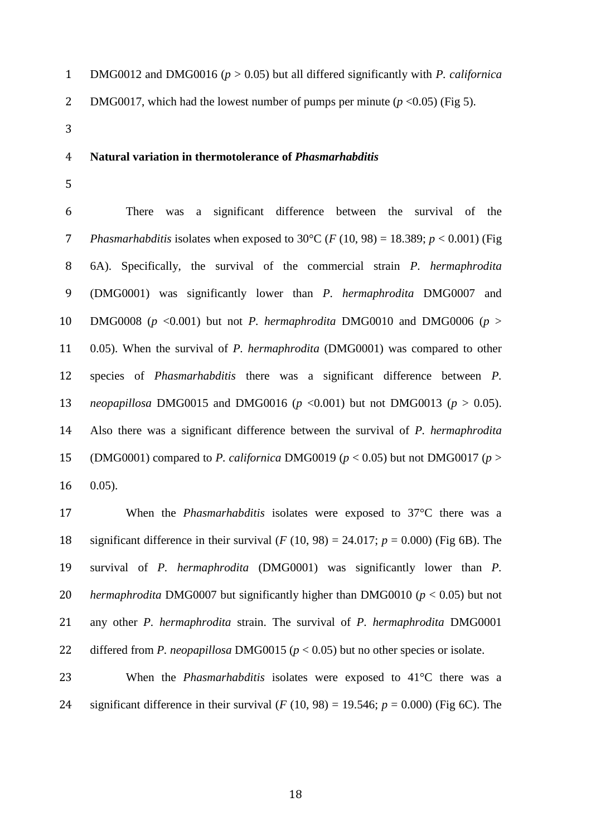- DMG0012 and DMG0016 (*p* > 0.05) but all differed significantly with *P. californica* DMG0017, which had the lowest number of pumps per minute (*p* <0.05) (Fig 5).
- 

#### **Natural variation in thermotolerance of** *Phasmarhabditis*

 There was a significant difference between the survival of the *Phasmarhabditis* isolates when exposed to  $30^{\circ}$ C (*F* (10, 98) = 18.389; *p* < 0.001) (Fig. 6A). Specifically, the survival of the commercial strain *P. hermaphrodita*  (DMG0001) was significantly lower than *P. hermaphrodita* DMG0007 and 10 DMG0008 ( $p$  <0.001) but not *P. hermaphrodita* DMG0010 and DMG0006 ( $p$  > 0.05). When the survival of *P. hermaphrodita* (DMG0001) was compared to other species of *Phasmarhabditis* there was a significant difference between *P. neopapillosa* DMG0015 and DMG0016 ( $p < 0.001$ ) but not DMG0013 ( $p > 0.05$ ). Also there was a significant difference between the survival of *P. hermaphrodita*  (DMG0001) compared to *P. californica* DMG0019 (*p* < 0.05) but not DMG0017 (*p* > 0.05).

 When the *Phasmarhabditis* isolates were exposed to 37°C there was a 18 significant difference in their survival  $(F (10, 98) = 24.017; p = 0.000)$  (Fig 6B). The survival of *P. hermaphrodita* (DMG0001) was significantly lower than *P. hermaphrodita* DMG0007 but significantly higher than DMG0010 (*p* < 0.05) but not any other *P. hermaphrodita* strain. The survival of *P. hermaphrodita* DMG0001 22 differed from *P. neopapillosa* DMG0015 ( $p < 0.05$ ) but no other species or isolate.

 When the *Phasmarhabditis* isolates were exposed to 41°C there was a 24 significant difference in their survival  $(F (10, 98) = 19.546; p = 0.000)$  (Fig 6C). The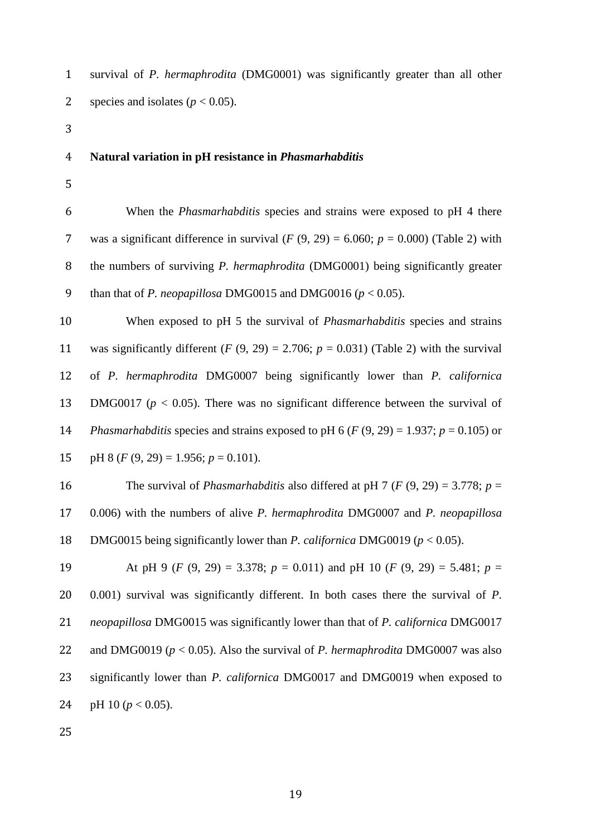survival of *P. hermaphrodita* (DMG0001) was significantly greater than all other 2 species and isolates  $(p < 0.05)$ .

#### **Natural variation in pH resistance in** *Phasmarhabditis*

 When the *Phasmarhabditis* species and strains were exposed to pH 4 there 7 was a significant difference in survival  $(F(9, 29) = 6.060; p = 0.000)$  (Table 2) with the numbers of surviving *P. hermaphrodita* (DMG0001) being significantly greater 9 than that of *P. neopapillosa* DMG0015 and DMG0016 ( $p < 0.05$ ).

 When exposed to pH 5 the survival of *Phasmarhabditis* species and strains 11 was significantly different  $(F(9, 29) = 2.706; p = 0.031)$  (Table 2) with the survival of *P. hermaphrodita* DMG0007 being significantly lower than *P. californica* 13 DMG0017 ( $p < 0.05$ ). There was no significant difference between the survival of 14 *Phasmarhabditis* species and strains exposed to pH 6 ( $F(9, 29) = 1.937$ ;  $p = 0.105$ ) or 15 pH 8  $(F(9, 29) = 1.956; p = 0.101)$ .

16 The survival of *Phasmarhabditis* also differed at pH 7 ( $F(9, 29) = 3.778$ ;  $p =$  0.006) with the numbers of alive *P. hermaphrodita* DMG0007 and *P. neopapillosa*  DMG0015 being significantly lower than *P. californica* DMG0019 (*p* < 0.05).

19 At pH 9 (*F* (9, 29) = 3.378;  $p = 0.011$ ) and pH 10 (*F* (9, 29) = 5.481;  $p =$  0.001) survival was significantly different. In both cases there the survival of *P. neopapillosa* DMG0015 was significantly lower than that of *P. californica* DMG0017 and DMG0019 (*p* < 0.05). Also the survival of *P. hermaphrodita* DMG0007 was also significantly lower than *P. californica* DMG0017 and DMG0019 when exposed to 24 pH 10  $(p < 0.05)$ .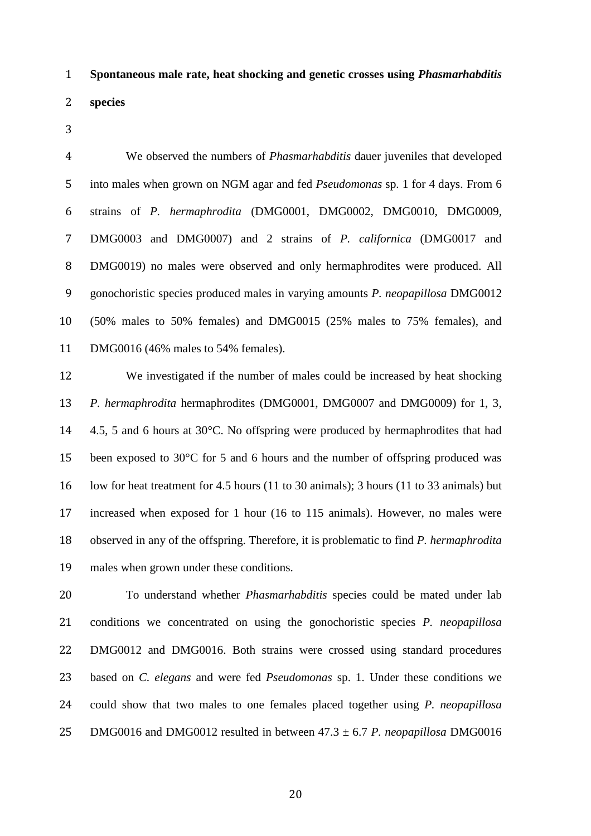**Spontaneous male rate, heat shocking and genetic crosses using** *Phasmarhabditis*

- **species**
- 

 We observed the numbers of *Phasmarhabditis* dauer juveniles that developed into males when grown on NGM agar and fed *Pseudomonas* sp. 1 for 4 days. From 6 strains of *P. hermaphrodita* (DMG0001, DMG0002, DMG0010, DMG0009, DMG0003 and DMG0007) and 2 strains of *P. californica* (DMG0017 and DMG0019) no males were observed and only hermaphrodites were produced. All gonochoristic species produced males in varying amounts *P. neopapillosa* DMG0012 (50% males to 50% females) and DMG0015 (25% males to 75% females), and DMG0016 (46% males to 54% females).

 We investigated if the number of males could be increased by heat shocking *P. hermaphrodita* hermaphrodites (DMG0001, DMG0007 and DMG0009) for 1, 3, 4.5, 5 and 6 hours at 30°C. No offspring were produced by hermaphrodites that had been exposed to 30°C for 5 and 6 hours and the number of offspring produced was low for heat treatment for 4.5 hours (11 to 30 animals); 3 hours (11 to 33 animals) but increased when exposed for 1 hour (16 to 115 animals). However, no males were observed in any of the offspring. Therefore, it is problematic to find *P. hermaphrodita*  males when grown under these conditions.

 To understand whether *Phasmarhabditis* species could be mated under lab conditions we concentrated on using the gonochoristic species *P. neopapillosa*  DMG0012 and DMG0016. Both strains were crossed using standard procedures based on *C. elegans* and were fed *Pseudomonas* sp. 1. Under these conditions we could show that two males to one females placed together using *P. neopapillosa* DMG0016 and DMG0012 resulted in between 47.3 ± 6.7 *P. neopapillosa* DMG0016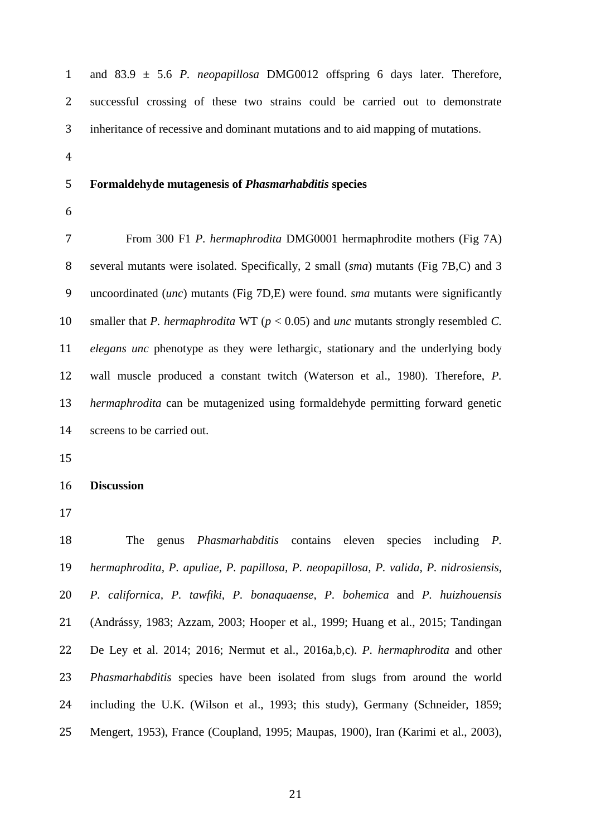and 83.9 ± 5.6 *P. neopapillosa* DMG0012 offspring 6 days later. Therefore, successful crossing of these two strains could be carried out to demonstrate inheritance of recessive and dominant mutations and to aid mapping of mutations.

### **Formaldehyde mutagenesis of** *Phasmarhabditis* **species**

 From 300 F1 *P. hermaphrodita* DMG0001 hermaphrodite mothers (Fig 7A) several mutants were isolated. Specifically, 2 small (*sma*) mutants (Fig 7B,C) and 3 uncoordinated (*unc*) mutants (Fig 7D,E) were found. *sma* mutants were significantly smaller that *P. hermaphrodita* WT (*p* < 0.05) and *unc* mutants strongly resembled *C. elegans unc* phenotype as they were lethargic, stationary and the underlying body wall muscle produced a constant twitch (Waterson et al., 1980). Therefore, *P. hermaphrodita* can be mutagenized using formaldehyde permitting forward genetic screens to be carried out.

### **Discussion**

 The genus *Phasmarhabditis* contains eleven species including *P. hermaphrodita, P. apuliae, P. papillosa, P. neopapillosa, P. valida, P. nidrosiensis, P. californica, P. tawfiki, P. bonaquaense*, *P. bohemica* and *P. huizhouensis* (Andrássy, 1983; Azzam, 2003; Hooper et al., 1999; Huang et al., 2015; Tandingan De Ley et al. 2014; 2016; Nermut et al., 2016a,b,c). *P. hermaphrodita* and other *Phasmarhabditis* species have been isolated from slugs from around the world including the U.K. (Wilson et al., 1993; this study), Germany (Schneider, 1859; Mengert, 1953), France (Coupland, 1995; Maupas, 1900), Iran (Karimi et al., 2003),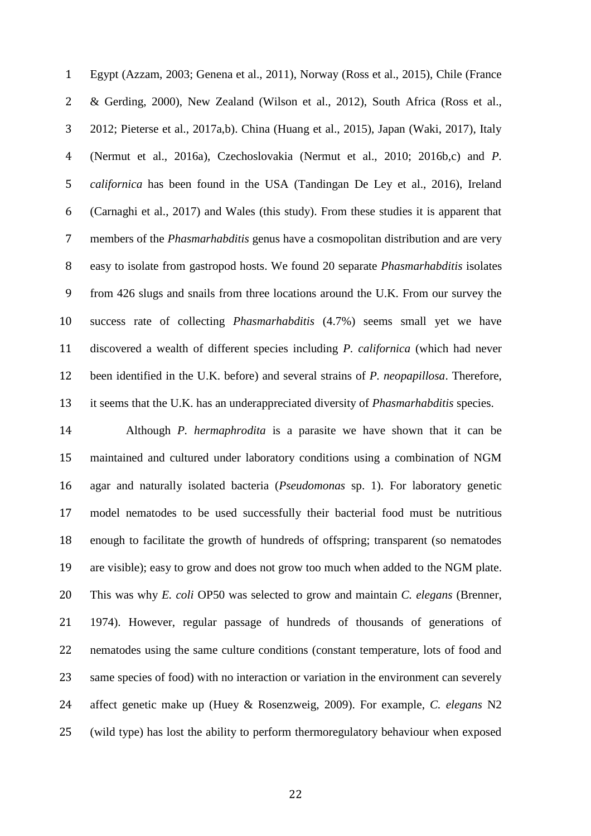Egypt (Azzam, 2003; Genena et al., 2011), Norway (Ross et al., 2015), Chile (France & Gerding, 2000), New Zealand (Wilson et al., 2012), South Africa (Ross et al., 2012; Pieterse et al., 2017a,b). China (Huang et al., 2015), Japan (Waki, 2017), Italy (Nermut et al., 2016a), Czechoslovakia (Nermut et al., 2010; 2016b,c) and *P. californica* has been found in the USA (Tandingan De Ley et al., 2016), Ireland (Carnaghi et al., 2017) and Wales (this study). From these studies it is apparent that members of the *Phasmarhabditis* genus have a cosmopolitan distribution and are very easy to isolate from gastropod hosts. We found 20 separate *Phasmarhabditis* isolates from 426 slugs and snails from three locations around the U.K. From our survey the success rate of collecting *Phasmarhabditis* (4.7%) seems small yet we have discovered a wealth of different species including *P. californica* (which had never been identified in the U.K. before) and several strains of *P. neopapillosa*. Therefore, it seems that the U.K. has an underappreciated diversity of *Phasmarhabditis* species.

 Although *P. hermaphrodita* is a parasite we have shown that it can be maintained and cultured under laboratory conditions using a combination of NGM agar and naturally isolated bacteria (*Pseudomonas* sp. 1). For laboratory genetic model nematodes to be used successfully their bacterial food must be nutritious enough to facilitate the growth of hundreds of offspring; transparent (so nematodes are visible); easy to grow and does not grow too much when added to the NGM plate. This was why *E. coli* OP50 was selected to grow and maintain *C. elegans* (Brenner, 1974). However, regular passage of hundreds of thousands of generations of nematodes using the same culture conditions (constant temperature, lots of food and same species of food) with no interaction or variation in the environment can severely affect genetic make up (Huey & Rosenzweig, 2009). For example, *C. elegans* N2 (wild type) has lost the ability to perform thermoregulatory behaviour when exposed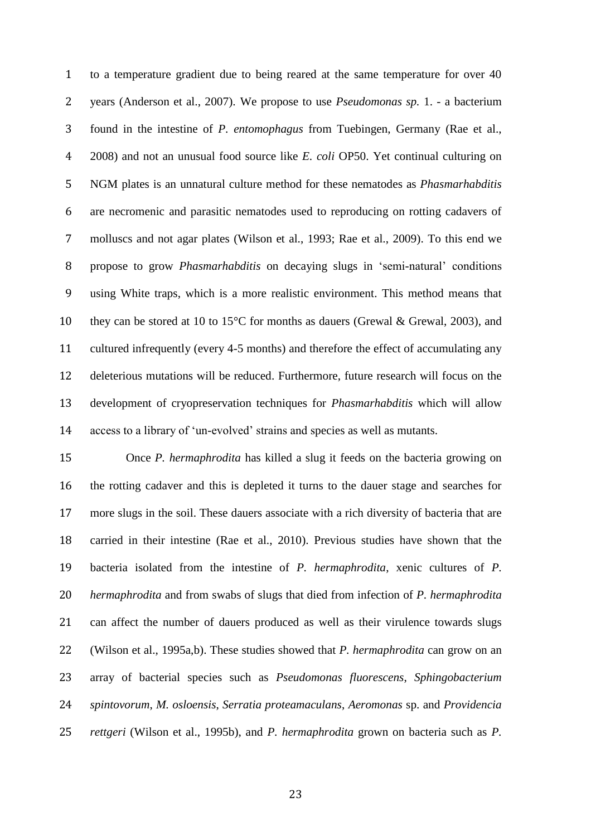to a temperature gradient due to being reared at the same temperature for over 40 years (Anderson et al., 2007). We propose to use *Pseudomonas sp.* 1. - a bacterium found in the intestine of *P. entomophagus* from Tuebingen, Germany (Rae et al., 2008) and not an unusual food source like *E. coli* OP50. Yet continual culturing on NGM plates is an unnatural culture method for these nematodes as *Phasmarhabditis* are necromenic and parasitic nematodes used to reproducing on rotting cadavers of molluscs and not agar plates (Wilson et al., 1993; Rae et al., 2009). To this end we propose to grow *Phasmarhabditis* on decaying slugs in 'semi-natural' conditions using White traps, which is a more realistic environment. This method means that they can be stored at 10 to 15°C for months as dauers (Grewal & Grewal, 2003), and cultured infrequently (every 4-5 months) and therefore the effect of accumulating any deleterious mutations will be reduced. Furthermore, future research will focus on the development of cryopreservation techniques for *Phasmarhabditis* which will allow access to a library of 'un-evolved' strains and species as well as mutants.

 Once *P. hermaphrodita* has killed a slug it feeds on the bacteria growing on the rotting cadaver and this is depleted it turns to the dauer stage and searches for more slugs in the soil. These dauers associate with a rich diversity of bacteria that are carried in their intestine (Rae et al., 2010). Previous studies have shown that the bacteria isolated from the intestine of *P. hermaphrodita*, xenic cultures of *P. hermaphrodita* and from swabs of slugs that died from infection of *P. hermaphrodita* can affect the number of dauers produced as well as their virulence towards slugs (Wilson et al., 1995a,b). These studies showed that *P. hermaphrodita* can grow on an array of bacterial species such as *Pseudomonas fluorescens*, *Sphingobacterium spintovorum*, *M. osloensis*, *Serratia proteamaculans*, *Aeromonas* sp. and *Providencia rettgeri* (Wilson et al., 1995b), and *P. hermaphrodita* grown on bacteria such as *P.*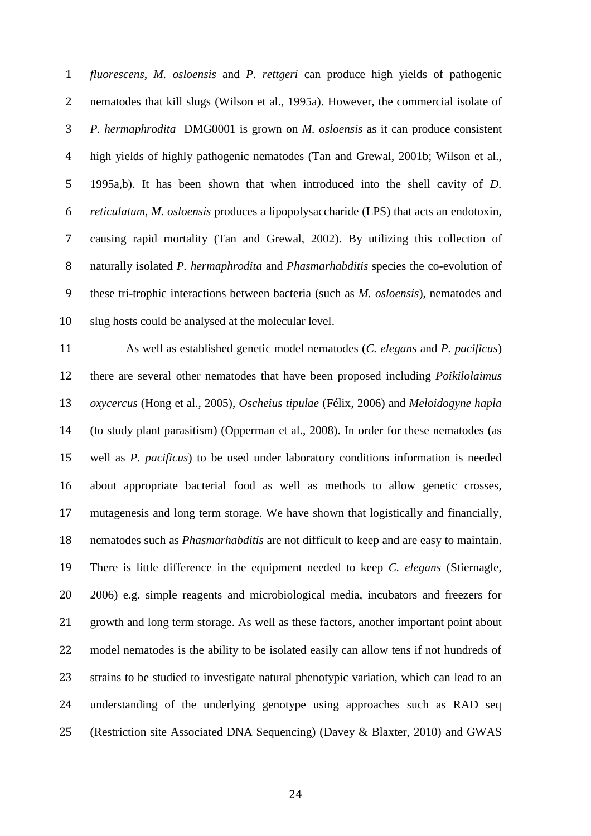*fluorescens*, *M. osloensis* and *P. rettgeri* can produce high yields of pathogenic nematodes that kill slugs (Wilson et al., 1995a). However, the commercial isolate of *P. hermaphrodita* DMG0001 is grown on *M. osloensis* as it can produce consistent high yields of highly pathogenic nematodes (Tan and Grewal, 2001b; Wilson et al., 1995a,b). It has been shown that when introduced into the shell cavity of *D. reticulatum*, *M. osloensis* produces a lipopolysaccharide (LPS) that acts an endotoxin, causing rapid mortality (Tan and Grewal, 2002). By utilizing this collection of naturally isolated *P. hermaphrodita* and *Phasmarhabditis* species the co-evolution of these tri-trophic interactions between bacteria (such as *M. osloensis*), nematodes and slug hosts could be analysed at the molecular level.

 As well as established genetic model nematodes (*C. elegans* and *P. pacificus*) there are several other nematodes that have been proposed including *Poikilolaimus oxycercus* (Hong et al., 2005), *Oscheius tipulae* (Félix, 2006) and *Meloidogyne hapla* (to study plant parasitism) (Opperman et al., 2008). In order for these nematodes (as well as *P. pacificus*) to be used under laboratory conditions information is needed about appropriate bacterial food as well as methods to allow genetic crosses, mutagenesis and long term storage. We have shown that logistically and financially, nematodes such as *Phasmarhabditis* are not difficult to keep and are easy to maintain. There is little difference in the equipment needed to keep *C. elegans* (Stiernagle, 2006) e.g. simple reagents and microbiological media, incubators and freezers for growth and long term storage. As well as these factors, another important point about model nematodes is the ability to be isolated easily can allow tens if not hundreds of strains to be studied to investigate natural phenotypic variation, which can lead to an understanding of the underlying genotype using approaches such as RAD seq (Restriction site Associated DNA Sequencing) (Davey & Blaxter, 2010) and GWAS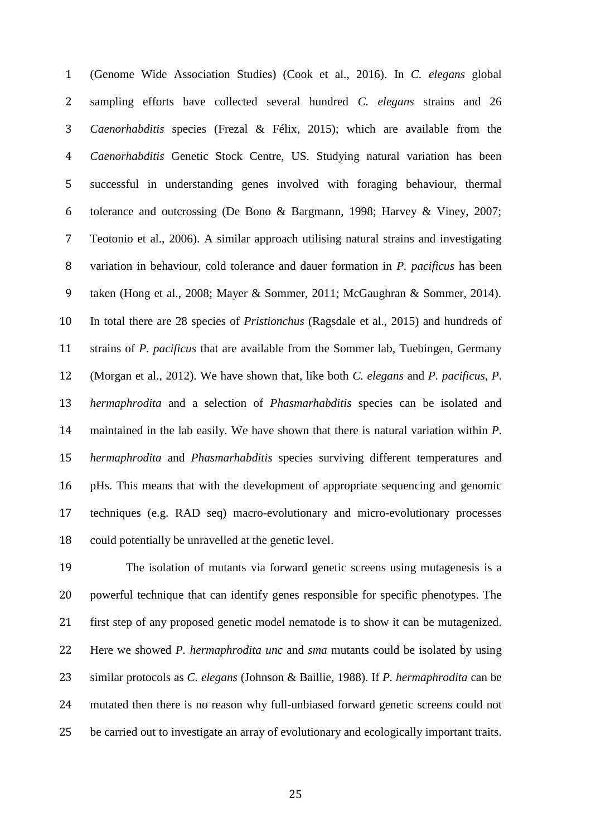(Genome Wide Association Studies) (Cook et al., 2016). In *C. elegans* global sampling efforts have collected several hundred *C. elegans* strains and 26 *Caenorhabditis* species (Frezal & Félix, 2015); which are available from the *Caenorhabditis* Genetic Stock Centre, US. Studying natural variation has been successful in understanding genes involved with foraging behaviour, thermal tolerance and outcrossing (De Bono & Bargmann, 1998; Harvey & Viney, 2007; Teotonio et al., 2006). A similar approach utilising natural strains and investigating variation in behaviour, cold tolerance and dauer formation in *P. pacificus* has been taken (Hong et al., 2008; Mayer & Sommer, 2011; McGaughran & Sommer, 2014). In total there are 28 species of *Pristionchus* (Ragsdale et al., 2015) and hundreds of strains of *P. pacificus* that are available from the Sommer lab, Tuebingen, Germany (Morgan et al., 2012). We have shown that, like both *C. elegans* and *P. pacificus*, *P. hermaphrodita* and a selection of *Phasmarhabditis* species can be isolated and maintained in the lab easily. We have shown that there is natural variation within *P. hermaphrodita* and *Phasmarhabditis* species surviving different temperatures and pHs. This means that with the development of appropriate sequencing and genomic techniques (e.g. RAD seq) macro-evolutionary and micro-evolutionary processes could potentially be unravelled at the genetic level.

 The isolation of mutants via forward genetic screens using mutagenesis is a powerful technique that can identify genes responsible for specific phenotypes. The first step of any proposed genetic model nematode is to show it can be mutagenized. Here we showed *P. hermaphrodita unc* and *sma* mutants could be isolated by using similar protocols as *C. elegans* (Johnson & Baillie, 1988). If *P. hermaphrodita* can be mutated then there is no reason why full-unbiased forward genetic screens could not be carried out to investigate an array of evolutionary and ecologically important traits.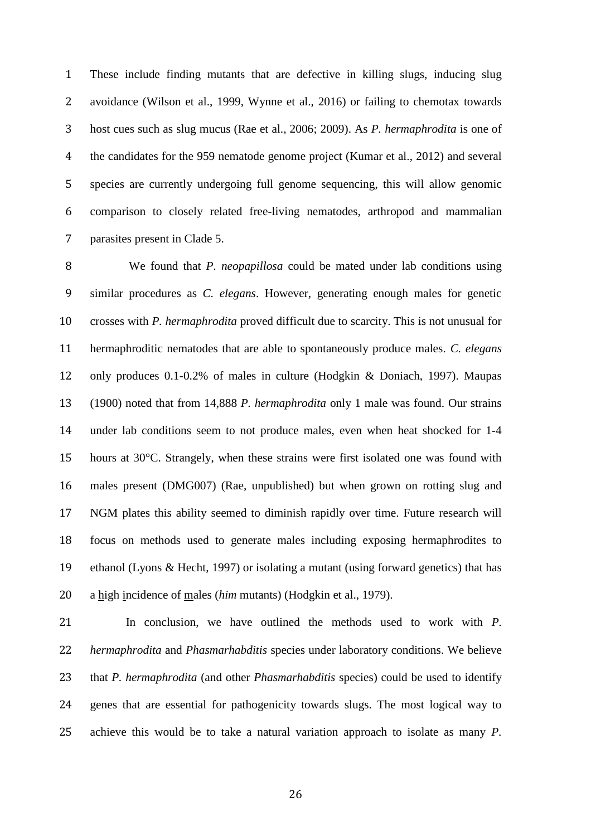These include finding mutants that are defective in killing slugs, inducing slug avoidance (Wilson et al., 1999, Wynne et al., 2016) or failing to chemotax towards host cues such as slug mucus (Rae et al., 2006; 2009). As *P. hermaphrodita* is one of the candidates for the 959 nematode genome project (Kumar et al., 2012) and several species are currently undergoing full genome sequencing, this will allow genomic comparison to closely related free-living nematodes, arthropod and mammalian parasites present in Clade 5.

 We found that *P. neopapillosa* could be mated under lab conditions using similar procedures as *C. elegans*. However, generating enough males for genetic crosses with *P. hermaphrodita* proved difficult due to scarcity. This is not unusual for hermaphroditic nematodes that are able to spontaneously produce males. *C. elegans* only produces 0.1-0.2% of males in culture (Hodgkin & Doniach, 1997). Maupas (1900) noted that from 14,888 *P. hermaphrodita* only 1 male was found. Our strains under lab conditions seem to not produce males, even when heat shocked for 1-4 hours at 30°C. Strangely, when these strains were first isolated one was found with males present (DMG007) (Rae, unpublished) but when grown on rotting slug and NGM plates this ability seemed to diminish rapidly over time. Future research will focus on methods used to generate males including exposing hermaphrodites to ethanol (Lyons & Hecht, 1997) or isolating a mutant (using forward genetics) that has a high incidence of males (*him* mutants) (Hodgkin et al., 1979).

 In conclusion, we have outlined the methods used to work with *P. hermaphrodita* and *Phasmarhabditis* species under laboratory conditions. We believe that *P. hermaphrodita* (and other *Phasmarhabditis* species) could be used to identify genes that are essential for pathogenicity towards slugs. The most logical way to achieve this would be to take a natural variation approach to isolate as many *P.*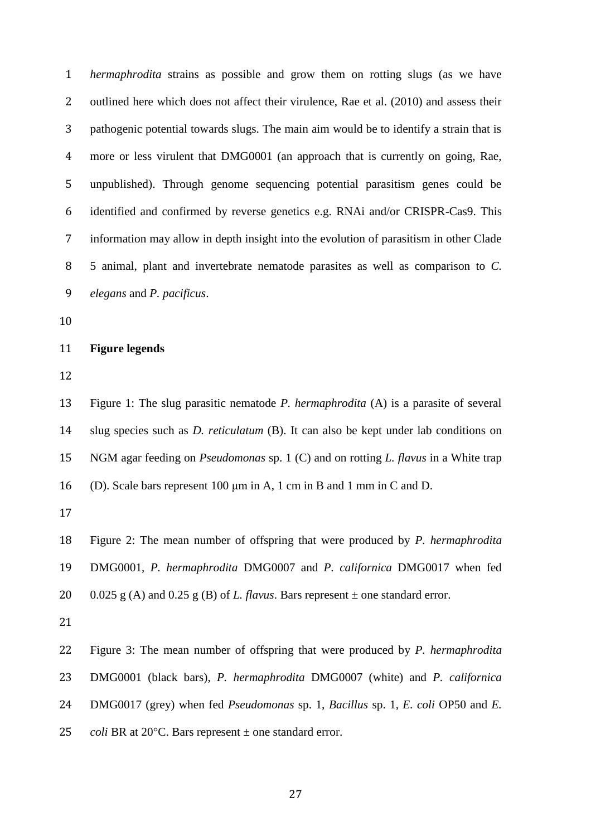*hermaphrodita* strains as possible and grow them on rotting slugs (as we have outlined here which does not affect their virulence, Rae et al. (2010) and assess their pathogenic potential towards slugs. The main aim would be to identify a strain that is more or less virulent that DMG0001 (an approach that is currently on going, Rae, unpublished). Through genome sequencing potential parasitism genes could be identified and confirmed by reverse genetics e.g. RNAi and/or CRISPR-Cas9. This information may allow in depth insight into the evolution of parasitism in other Clade 5 animal, plant and invertebrate nematode parasites as well as comparison to *C. elegans* and *P. pacificus*.

#### **Figure legends**

 Figure 1: The slug parasitic nematode *P. hermaphrodita* (A) is a parasite of several slug species such as *D. reticulatum* (B). It can also be kept under lab conditions on NGM agar feeding on *Pseudomonas* sp. 1 (C) and on rotting *L. flavus* in a White trap (D). Scale bars represent 100 μm in A, 1 cm in B and 1 mm in C and D.

 Figure 2: The mean number of offspring that were produced by *P. hermaphrodita* DMG0001, *P. hermaphrodita* DMG0007 and *P. californica* DMG0017 when fed 20 0.025 g (A) and 0.25 g (B) of *L. flavus*. Bars represent  $\pm$  one standard error.

 Figure 3: The mean number of offspring that were produced by *P. hermaphrodita* DMG0001 (black bars), *P. hermaphrodita* DMG0007 (white) and *P. californica*  DMG0017 (grey) when fed *Pseudomonas* sp. 1, *Bacillus* sp. 1, *E. coli* OP50 and *E. coli* BR at 20 $\degree$ C. Bars represent  $\pm$  one standard error.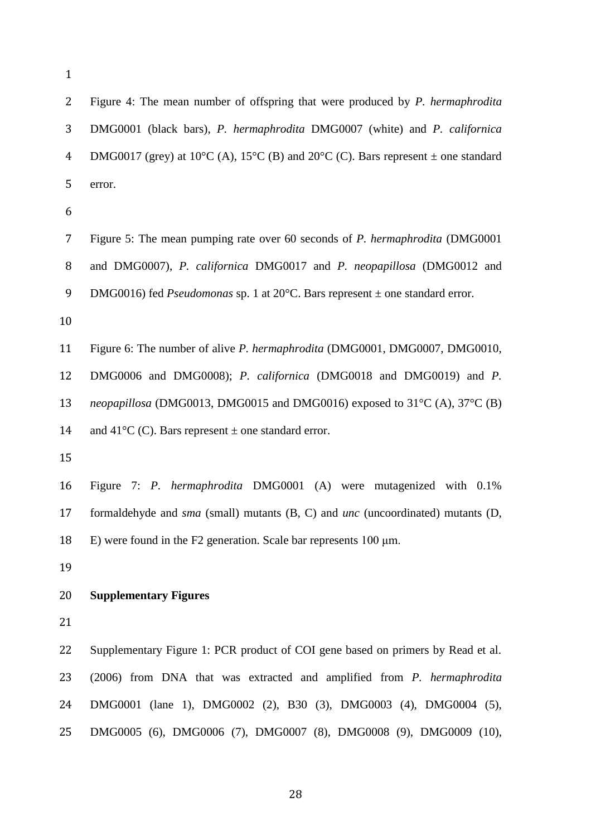| I<br>۰, |
|---------|
| . .     |

 Figure 4: The mean number of offspring that were produced by *P. hermaphrodita* DMG0001 (black bars), *P. hermaphrodita* DMG0007 (white) and *P. californica*  4 DMG0017 (grey) at  $10^{\circ}$ C (A),  $15^{\circ}$ C (B) and  $20^{\circ}$ C (C). Bars represent  $\pm$  one standard error. Figure 5: The mean pumping rate over 60 seconds of *P. hermaphrodita* (DMG0001 and DMG0007), *P. californica* DMG0017 and *P. neopapillosa* (DMG0012 and 9 DMG0016) fed *Pseudomonas* sp. 1 at 20°C. Bars represent  $\pm$  one standard error. Figure 6: The number of alive *P. hermaphrodita* (DMG0001, DMG0007, DMG0010, DMG0006 and DMG0008); *P. californica* (DMG0018 and DMG0019) and *P. neopapillosa* (DMG0013, DMG0015 and DMG0016) exposed to 31°C (A), 37°C (B) 14 and 41 $^{\circ}$ C (C). Bars represent  $\pm$  one standard error. Figure 7: *P. hermaphrodita* DMG0001 (A) were mutagenized with 0.1% formaldehyde and *sma* (small) mutants (B, C) and *unc* (uncoordinated) mutants (D, E) were found in the F2 generation. Scale bar represents 100 μm. **Supplementary Figures** Supplementary Figure 1: PCR product of COI gene based on primers by Read et al. (2006) from DNA that was extracted and amplified from *P. hermaphrodita* DMG0001 (lane 1), DMG0002 (2), B30 (3), DMG0003 (4), DMG0004 (5), DMG0005 (6), DMG0006 (7), DMG0007 (8), DMG0008 (9), DMG0009 (10),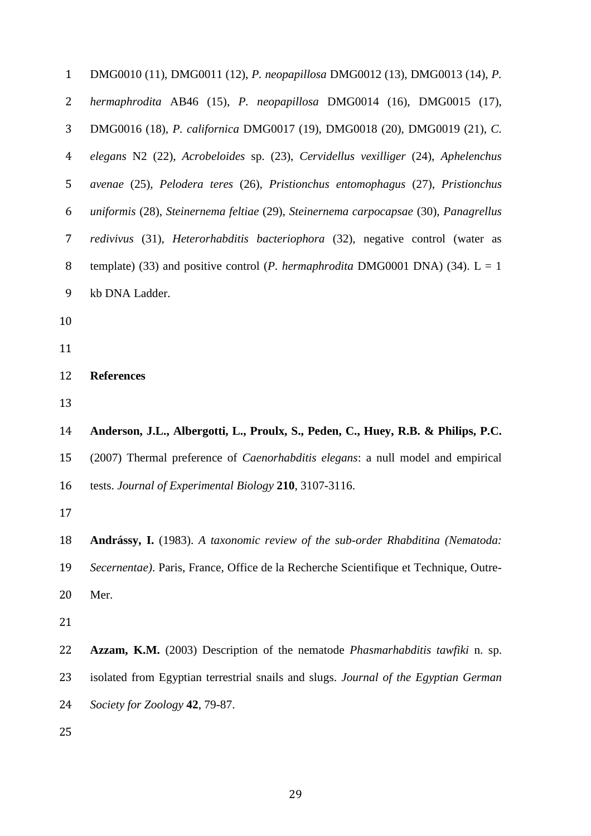| $\mathbf{1}$   | DMG0010 (11), DMG0011 (12), P. neopapillosa DMG0012 (13), DMG0013 (14), P.               |
|----------------|------------------------------------------------------------------------------------------|
| $\overline{2}$ | hermaphrodita AB46 (15), P. neopapillosa DMG0014 (16), DMG0015 (17),                     |
| 3              | DMG0016 (18), P. californica DMG0017 (19), DMG0018 (20), DMG0019 (21), C.                |
| $\overline{4}$ | elegans N2 (22), Acrobeloides sp. (23), Cervidellus vexilliger (24), Aphelenchus         |
| 5              | avenae (25), Pelodera teres (26), Pristionchus entomophagus (27), Pristionchus           |
| 6              | uniformis (28), Steinernema feltiae (29), Steinernema carpocapsae (30), Panagrellus      |
| $\overline{7}$ | redivivus (31), Heterorhabditis bacteriophora (32), negative control (water as           |
| 8              | template) (33) and positive control ( <i>P. hermaphrodita</i> DMG0001 DNA) (34). $L = 1$ |
| 9              | kb DNA Ladder.                                                                           |
| 10             |                                                                                          |
| 11             |                                                                                          |
| 12             | <b>References</b>                                                                        |
|                |                                                                                          |
| 13             |                                                                                          |
| 14             | Anderson, J.L., Albergotti, L., Proulx, S., Peden, C., Huey, R.B. & Philips, P.C.        |
| 15             | (2007) Thermal preference of <i>Caenorhabditis elegans</i> : a null model and empirical  |
| 16             | tests. Journal of Experimental Biology 210, 3107-3116.                                   |
| 17             |                                                                                          |
| 18             | Andrássy, I. (1983). A taxonomic review of the sub-order Rhabditina (Nematoda:           |
| 19             | Secernentae). Paris, France, Office de la Recherche Scientifique et Technique, Outre-    |
| 20             | Mer.                                                                                     |
| 21             |                                                                                          |
| 22             | Azzam, K.M. (2003) Description of the nematode Phasmarhabditis tawfiki n. sp.            |
| 23             | isolated from Egyptian terrestrial snails and slugs. Journal of the Egyptian German      |
| 24             | Society for Zoology 42, 79-87.                                                           |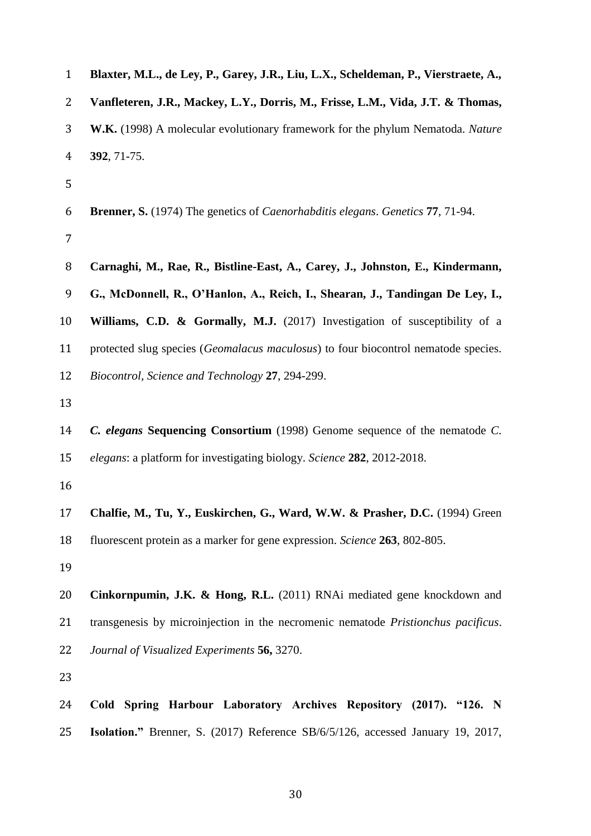| $\mathbf{1}$   | Blaxter, M.L., de Ley, P., Garey, J.R., Liu, L.X., Scheldeman, P., Vierstraete, A.,          |  |
|----------------|----------------------------------------------------------------------------------------------|--|
| 2              | Vanfleteren, J.R., Mackey, L.Y., Dorris, M., Frisse, L.M., Vida, J.T. & Thomas,              |  |
| 3              | W.K. (1998) A molecular evolutionary framework for the phylum Nematoda. Nature               |  |
| $\overline{4}$ | 392, 71-75.                                                                                  |  |
| 5              |                                                                                              |  |
| 6              | <b>Brenner, S.</b> (1974) The genetics of <i>Caenorhabditis elegans. Genetics</i> 77, 71-94. |  |
| 7              |                                                                                              |  |
| 8              | Carnaghi, M., Rae, R., Bistline-East, A., Carey, J., Johnston, E., Kindermann,               |  |
| 9              | G., McDonnell, R., O'Hanlon, A., Reich, I., Shearan, J., Tandingan De Ley, I.,               |  |
| 10             | Williams, C.D. & Gormally, M.J. (2017) Investigation of susceptibility of a                  |  |
| 11             | protected slug species ( <i>Geomalacus maculosus</i> ) to four biocontrol nematode species.  |  |
| 12             | Biocontrol, Science and Technology 27, 294-299.                                              |  |
| 13             |                                                                                              |  |
| 14             | C. elegans Sequencing Consortium (1998) Genome sequence of the nematode C.                   |  |
| 15             | elegans: a platform for investigating biology. Science 282, 2012-2018.                       |  |
| 16             |                                                                                              |  |
| 17             | Chalfie, M., Tu, Y., Euskirchen, G., Ward, W.W. & Prasher, D.C. (1994) Green                 |  |
| 18             | fluorescent protein as a marker for gene expression. Science 263, 802-805.                   |  |
| 19             |                                                                                              |  |
| 20             | Cinkornpumin, J.K. & Hong, R.L. (2011) RNAi mediated gene knockdown and                      |  |
| 21             | transgenesis by microinjection in the necromenic nematode Pristionchus pacificus.            |  |
| 22             | Journal of Visualized Experiments 56, 3270.                                                  |  |
| 23             |                                                                                              |  |
| 24             | Cold Spring Harbour Laboratory Archives Repository (2017). "126. N                           |  |
| 25             | Isolation." Brenner, S. (2017) Reference SB/6/5/126, accessed January 19, 2017,              |  |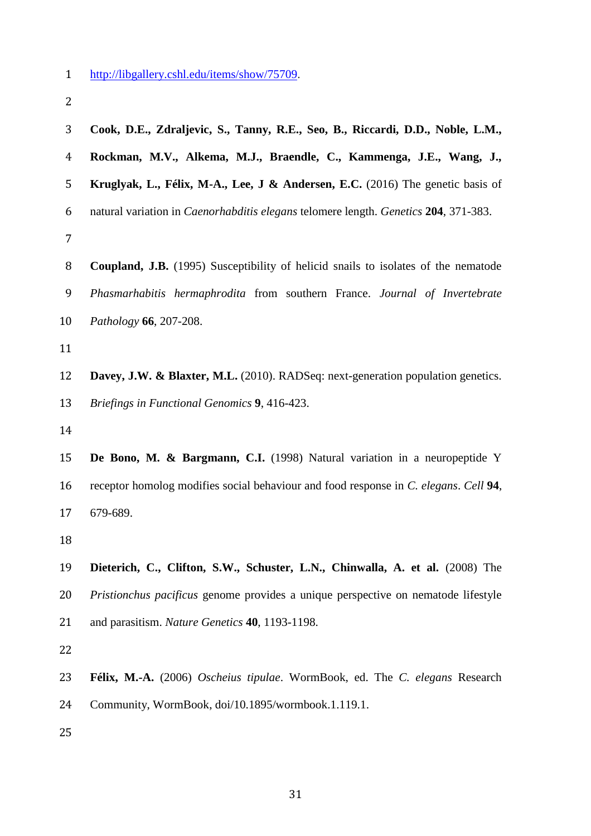- [http://libgallery.cshl.edu/items/show/75709.](http://libgallery.cshl.edu/items/show/75709)
- 

| 3              | Cook, D.E., Zdraljevic, S., Tanny, R.E., Seo, B., Riccardi, D.D., Noble, L.M.,             |
|----------------|--------------------------------------------------------------------------------------------|
| $\overline{4}$ | Rockman, M.V., Alkema, M.J., Braendle, C., Kammenga, J.E., Wang, J.,                       |
| 5              | Kruglyak, L., Félix, M-A., Lee, J & Andersen, E.C. (2016) The genetic basis of             |
| 6              | natural variation in <i>Caenorhabditis elegans</i> telomere length. Genetics 204, 371-383. |
| 7              |                                                                                            |
| 8              | <b>Coupland, J.B.</b> (1995) Susceptibility of helicid snails to isolates of the nematode  |
| 9              | Phasmarhabitis hermaphrodita from southern France. Journal of Invertebrate                 |
| 10             | Pathology 66, 207-208.                                                                     |
| 11             |                                                                                            |
| 12             | Davey, J.W. & Blaxter, M.L. (2010). RADSeq: next-generation population genetics.           |
| 13             | Briefings in Functional Genomics 9, 416-423.                                               |
| 14             |                                                                                            |
| 15             | De Bono, M. & Bargmann, C.I. (1998) Natural variation in a neuropeptide Y                  |
| 16             | receptor homolog modifies social behaviour and food response in C. elegans. Cell 94,       |
| 17             | 679-689.                                                                                   |
| 18             |                                                                                            |
| 19             | Dieterich, C., Clifton, S.W., Schuster, L.N., Chinwalla, A. et al. (2008) The              |
| 20             | Pristionchus pacificus genome provides a unique perspective on nematode lifestyle          |
| 21             | and parasitism. Nature Genetics 40, 1193-1198.                                             |
| 22             |                                                                                            |
| 23             | Félix, M.-A. (2006) Oscheius tipulae. WormBook, ed. The C. elegans Research                |
| 24             | Community, WormBook, doi/10.1895/wormbook.1.119.1.                                         |
| 25             |                                                                                            |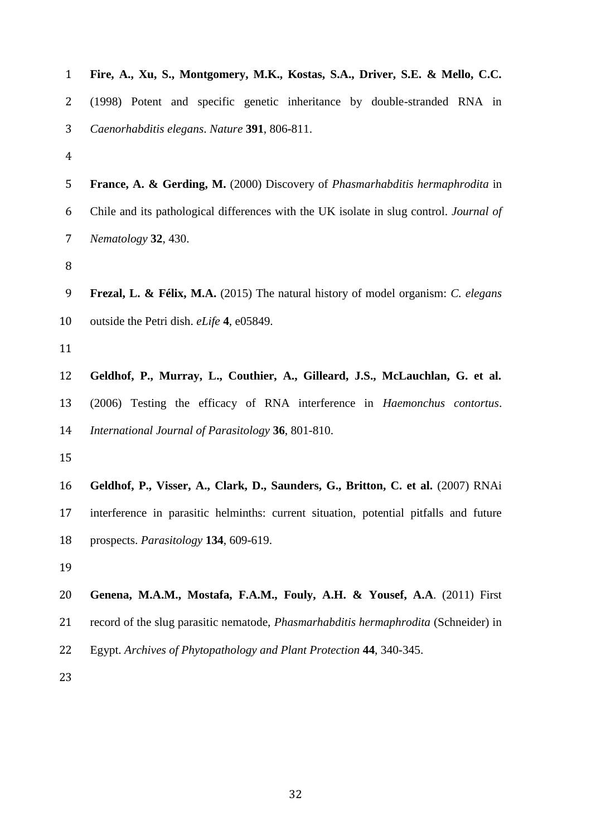| $\mathbf{1}$   | Fire, A., Xu, S., Montgomery, M.K., Kostas, S.A., Driver, S.E. & Mello, C.C.               |
|----------------|--------------------------------------------------------------------------------------------|
| $\overline{2}$ | (1998) Potent and specific genetic inheritance by double-stranded RNA in                   |
| 3              | Caenorhabditis elegans. Nature 391, 806-811.                                               |
| $\overline{4}$ |                                                                                            |
| 5              | France, A. & Gerding, M. (2000) Discovery of Phasmarhabditis hermaphrodita in              |
| 6              | Chile and its pathological differences with the UK isolate in slug control. Journal of     |
| 7              | Nematology 32, 430.                                                                        |
| 8              |                                                                                            |
| 9              | Frezal, L. & Félix, M.A. (2015) The natural history of model organism: C. elegans          |
| 10             | outside the Petri dish. eLife 4, e05849.                                                   |
| 11             |                                                                                            |
| 12             | Geldhof, P., Murray, L., Couthier, A., Gilleard, J.S., McLauchlan, G. et al.               |
| 13             | (2006) Testing the efficacy of RNA interference in Haemonchus contortus.                   |
| 14             | International Journal of Parasitology 36, 801-810.                                         |
| 15             |                                                                                            |
| 16             | Geldhof, P., Visser, A., Clark, D., Saunders, G., Britton, C. et al. (2007) RNAi           |
| 17             | interference in parasitic helminths: current situation, potential pitfalls and future      |
| 18             | prospects. Parasitology 134, 609-619.                                                      |
| 19             |                                                                                            |
| 20             | Genena, M.A.M., Mostafa, F.A.M., Fouly, A.H. & Yousef, A.A. (2011) First                   |
| 21             | record of the slug parasitic nematode, <i>Phasmarhabditis hermaphrodita</i> (Schneider) in |
| 22             | Egypt. Archives of Phytopathology and Plant Protection 44, 340-345.                        |
| 23             |                                                                                            |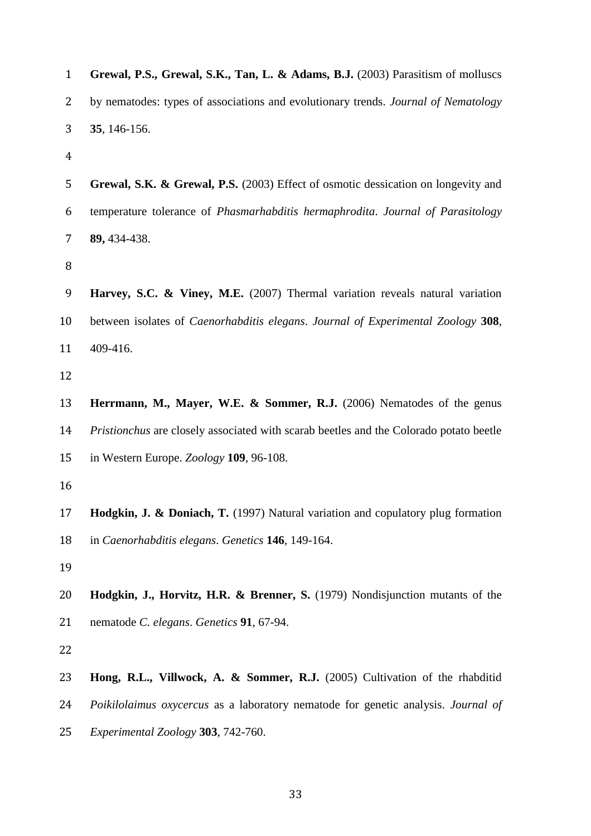| $\mathbf{1}$   | Grewal, P.S., Grewal, S.K., Tan, L. & Adams, B.J. (2003) Parasitism of molluses         |
|----------------|-----------------------------------------------------------------------------------------|
| $\overline{2}$ | by nematodes: types of associations and evolutionary trends. Journal of Nematology      |
| 3              | 35, 146-156.                                                                            |
| $\overline{4}$ |                                                                                         |
| 5              | Grewal, S.K. & Grewal, P.S. (2003) Effect of osmotic dessication on longevity and       |
| 6              | temperature tolerance of Phasmarhabditis hermaphrodita. Journal of Parasitology         |
| 7              | 89, 434-438.                                                                            |
| 8              |                                                                                         |
| 9              | Harvey, S.C. & Viney, M.E. (2007) Thermal variation reveals natural variation           |
| 10             | between isolates of <i>Caenorhabditis elegans. Journal of Experimental Zoology</i> 308, |
| 11             | 409-416.                                                                                |
| 12             |                                                                                         |
| 13             | Herrmann, M., Mayer, W.E. & Sommer, R.J. (2006) Nematodes of the genus                  |
| 14             | Pristionchus are closely associated with scarab beetles and the Colorado potato beetle  |
| 15             | in Western Europe. Zoology 109, 96-108.                                                 |
| 16             |                                                                                         |
| 17             | Hodgkin, J. & Doniach, T. (1997) Natural variation and copulatory plug formation        |
| 18             | in Caenorhabditis elegans. Genetics 146, 149-164.                                       |
| 19             |                                                                                         |
| 20             | Hodgkin, J., Horvitz, H.R. & Brenner, S. (1979) Nondisjunction mutants of the           |
| 21             | nematode C. elegans. Genetics 91, 67-94.                                                |
| 22             |                                                                                         |
| 23             | Hong, R.L., Villwock, A. & Sommer, R.J. (2005) Cultivation of the rhabditid             |
| 24             | Poikilolaimus oxycercus as a laboratory nematode for genetic analysis. Journal of       |
| 25             | Experimental Zoology 303, 742-760.                                                      |
|                |                                                                                         |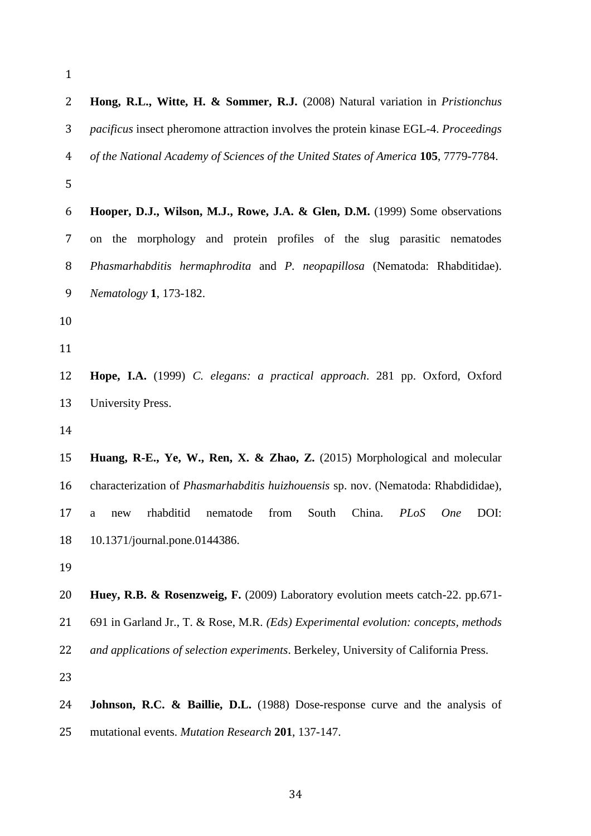| 2  | Hong, R.L., Witte, H. & Sommer, R.J. (2008) Natural variation in <i>Pristionchus</i>              |
|----|---------------------------------------------------------------------------------------------------|
| 3  | pacificus insect pheromone attraction involves the protein kinase EGL-4. Proceedings              |
| 4  | of the National Academy of Sciences of the United States of America 105, 7779-7784.               |
| 5  |                                                                                                   |
| 6  | Hooper, D.J., Wilson, M.J., Rowe, J.A. & Glen, D.M. (1999) Some observations                      |
| 7  | on the morphology and protein profiles of the slug parasitic nematodes                            |
| 8  | Phasmarhabditis hermaphrodita and P. neopapillosa (Nematoda: Rhabditidae).                        |
| 9  | Nematology 1, 173-182.                                                                            |
| 10 |                                                                                                   |
| 11 |                                                                                                   |
| 12 | Hope, I.A. (1999) C. elegans: a practical approach. 281 pp. Oxford, Oxford                        |
| 13 | University Press.                                                                                 |
| 14 |                                                                                                   |
| 15 | Huang, R-E., Ye, W., Ren, X. & Zhao, Z. (2015) Morphological and molecular                        |
| 16 | characterization of Phasmarhabditis huizhouensis sp. nov. (Nematoda: Rhabdididae),                |
| 17 | South<br>DOI:<br>rhabditid<br>from<br>China.<br>nematode<br><i>PLoS</i><br><b>One</b><br>a<br>new |
| 18 | 10.1371/journal.pone.0144386.                                                                     |
| 19 |                                                                                                   |
| 20 | Huey, R.B. & Rosenzweig, F. (2009) Laboratory evolution meets catch-22. pp.671-                   |
| 21 | 691 in Garland Jr., T. & Rose, M.R. (Eds) Experimental evolution: concepts, methods               |
| 22 | and applications of selection experiments. Berkeley, University of California Press.              |
| 23 |                                                                                                   |
| 24 | Johnson, R.C. & Baillie, D.L. (1988) Dose-response curve and the analysis of                      |

mutational events. *Mutation Research* **201**, 137-147.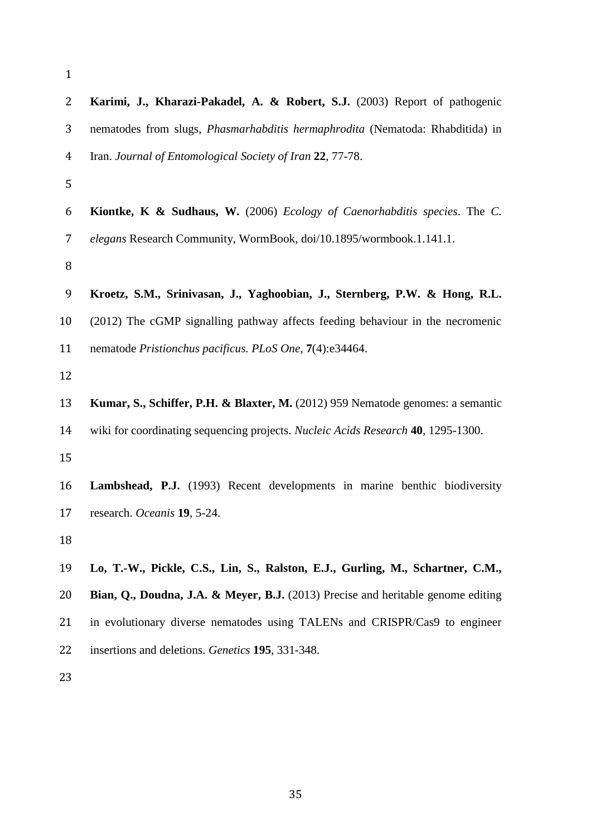| $\mathbf{1}$   |                                                                                  |
|----------------|----------------------------------------------------------------------------------|
| $\overline{2}$ | Karimi, J., Kharazi-Pakadel, A. & Robert, S.J. (2003) Report of pathogenic       |
| 3              | nematodes from slugs, Phasmarhabditis hermaphrodita (Nematoda: Rhabditida) in    |
| 4              | Iran. Journal of Entomological Society of Iran 22, 77-78.                        |
| 5              |                                                                                  |
| 6              | Kiontke, K & Sudhaus, W. (2006) Ecology of Caenorhabditis species. The C.        |
| $\overline{7}$ | elegans Research Community, WormBook, doi/10.1895/wormbook.1.141.1.              |
| 8              |                                                                                  |
| 9              | Kroetz, S.M., Srinivasan, J., Yaghoobian, J., Sternberg, P.W. & Hong, R.L.       |
| 10             | (2012) The cGMP signalling pathway affects feeding behaviour in the necromenic   |
| 11             | nematode Pristionchus pacificus. PLoS One, 7(4):e34464.                          |
| 12             |                                                                                  |
| 13             | Kumar, S., Schiffer, P.H. & Blaxter, M. (2012) 959 Nematode genomes: a semantic  |
| 14             | wiki for coordinating sequencing projects. Nucleic Acids Research 40, 1295-1300. |
| 15             |                                                                                  |
| 16             | Lambshead, P.J. (1993) Recent developments in marine benthic biodiversity        |
| 17             | research. Oceanis 19, 5-24.                                                      |
| 18             |                                                                                  |
| 19             | Lo, T.-W., Pickle, C.S., Lin, S., Ralston, E.J., Gurling, M., Schartner, C.M.,   |
| 20             | Bian, Q., Doudna, J.A. & Meyer, B.J. (2013) Precise and heritable genome editing |
| 21             | in evolutionary diverse nematodes using TALENs and CRISPR/Cas9 to engineer       |
| 22             | insertions and deletions. <i>Genetics</i> 195, 331-348.                          |
|                |                                                                                  |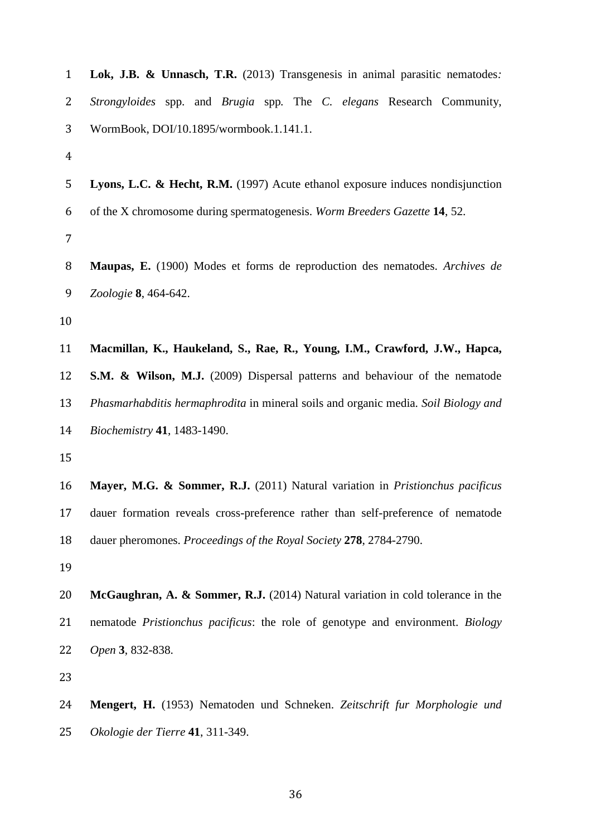| $\mathbf{1}$   | Lok, J.B. & Unnasch, T.R. (2013) Transgenesis in animal parasitic nematodes:         |  |
|----------------|--------------------------------------------------------------------------------------|--|
| 2              | Strongyloides spp. and Brugia spp. The C. elegans Research Community,                |  |
| 3              | WormBook, DOI/10.1895/wormbook.1.141.1.                                              |  |
| $\overline{4}$ |                                                                                      |  |
| 5              | Lyons, L.C. & Hecht, R.M. (1997) Acute ethanol exposure induces nondisjunction       |  |
| 6              | of the X chromosome during spermatogenesis. Worm Breeders Gazette 14, 52.            |  |
| $\overline{7}$ |                                                                                      |  |
| 8              | Maupas, E. (1900) Modes et forms de reproduction des nematodes. Archives de          |  |
| 9              | Zoologie 8, 464-642.                                                                 |  |
| 10             |                                                                                      |  |
| 11             | Macmillan, K., Haukeland, S., Rae, R., Young, I.M., Crawford, J.W., Hapca,           |  |
| 12             | S.M. & Wilson, M.J. (2009) Dispersal patterns and behaviour of the nematode          |  |
| 13             | Phasmarhabditis hermaphrodita in mineral soils and organic media. Soil Biology and   |  |
| 14             | Biochemistry 41, 1483-1490.                                                          |  |
| 15             |                                                                                      |  |
| 16             | Mayer, M.G. & Sommer, R.J. (2011) Natural variation in <i>Pristionchus pacificus</i> |  |
| 17             | dauer formation reveals cross-preference rather than self-preference of nematode     |  |
| 18             | dauer pheromones. Proceedings of the Royal Society 278, 2784-2790.                   |  |
| 19             |                                                                                      |  |
| 20             | McGaughran, A. & Sommer, R.J. (2014) Natural variation in cold tolerance in the      |  |
| 21             | nematode Pristionchus pacificus: the role of genotype and environment. Biology       |  |
| 22             | Open 3, 832-838.                                                                     |  |
| 23             |                                                                                      |  |
| 24             | Mengert, H. (1953) Nematoden und Schneken. Zeitschrift fur Morphologie und           |  |
| 25             | Okologie der Tierre 41, 311-349.                                                     |  |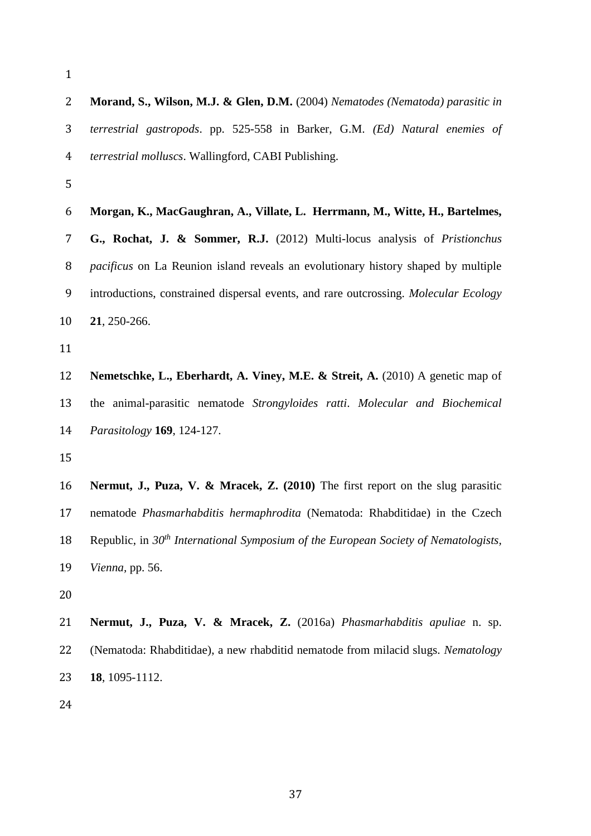| I<br>۰, |  |
|---------|--|
|         |  |
|         |  |
|         |  |
|         |  |
|         |  |

| Morand, S., Wilson, M.J. & Glen, D.M. (2004) Nematodes (Nematoda) parasitic in                  |
|-------------------------------------------------------------------------------------------------|
| terrestrial gastropods. pp. 525-558 in Barker, G.M. (Ed) Natural enemies of                     |
| terrestrial molluscs. Wallingford, CABI Publishing.                                             |
|                                                                                                 |
| Morgan, K., MacGaughran, A., Villate, L. Herrmann, M., Witte, H., Bartelmes,                    |
| G., Rochat, J. & Sommer, R.J. (2012) Multi-locus analysis of Pristionchus                       |
| <i>pacificus</i> on La Reunion island reveals an evolutionary history shaped by multiple        |
| introductions, constrained dispersal events, and rare outcrossing. Molecular Ecology            |
| 21, 250-266.                                                                                    |
|                                                                                                 |
| <b>Nemetschke, L., Eberhardt, A. Viney, M.E. &amp; Streit, A.</b> (2010) A genetic map of       |
| the animal-parasitic nematode Strongyloides ratti. Molecular and Biochemical                    |
| Parasitology 169, 124-127.                                                                      |
|                                                                                                 |
| Nermut, J., Puza, V. & Mracek, Z. (2010) The first report on the slug parasitic                 |
| nematode <i>Phasmarhabditis hermaphrodita</i> (Nematoda: Rhabditidae) in the Czech              |
| Republic, in 30 <sup>th</sup> International Symposium of the European Society of Nematologists, |
| Vienna, pp. 56.                                                                                 |
|                                                                                                 |
| Nermut, J., Puza, V. & Mracek, Z. (2016a) Phasmarhabditis apuliae n. sp.                        |
| (Nematoda: Rhabditidae), a new rhabditid nematode from milacid slugs. Nematology                |
| 18, 1095-1112.                                                                                  |
|                                                                                                 |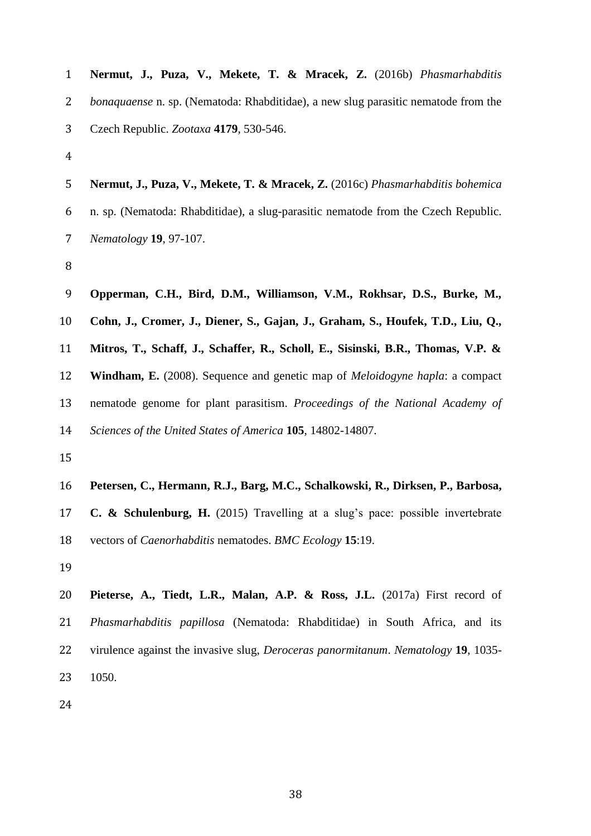| $\mathbf{1}$   | Nermut, J., Puza, V., Mekete, T. & Mracek, Z. (2016b) Phasmarhabditis                            |
|----------------|--------------------------------------------------------------------------------------------------|
| 2              | <i>bonaquaense</i> n. sp. (Nematoda: Rhabditidae), a new slug parasitic nematode from the        |
| 3              | Czech Republic. Zootaxa 4179, 530-546.                                                           |
| $\overline{4}$ |                                                                                                  |
| 5              | <b>Nermut, J., Puza, V., Mekete, T. &amp; Mracek, Z.</b> (2016c) <i>Phasmarhabditis bohemica</i> |
| 6              | n. sp. (Nematoda: Rhabditidae), a slug-parasitic nematode from the Czech Republic.               |
| 7              | Nematology 19, 97-107.                                                                           |
| 8              |                                                                                                  |
| 9              | Opperman, C.H., Bird, D.M., Williamson, V.M., Rokhsar, D.S., Burke, M.,                          |
| 10             | Cohn, J., Cromer, J., Diener, S., Gajan, J., Graham, S., Houfek, T.D., Liu, Q.,                  |
| 11             | Mitros, T., Schaff, J., Schaffer, R., Scholl, E., Sisinski, B.R., Thomas, V.P. &                 |
| 12             | <b>Windham, E.</b> (2008). Sequence and genetic map of <i>Meloidogyne hapla</i> : a compact      |
| 13             | nematode genome for plant parasitism. Proceedings of the National Academy of                     |
| 14             | Sciences of the United States of America 105, 14802-14807.                                       |
| 15             |                                                                                                  |
| 16             | Petersen, C., Hermann, R.J., Barg, M.C., Schalkowski, R., Dirksen, P., Barbosa,                  |
| 17             | C. & Schulenburg, H. (2015) Travelling at a slug's pace: possible invertebrate                   |
| 18             | vectors of <i>Caenorhabditis</i> nematodes. BMC <i>Ecology</i> 15:19.                            |
| 19             |                                                                                                  |
| 20             | Pieterse, A., Tiedt, L.R., Malan, A.P. & Ross, J.L. (2017a) First record of                      |
| 21             | Phasmarhabditis papillosa (Nematoda: Rhabditidae) in South Africa, and its                       |
| 22             | virulence against the invasive slug, Deroceras panormitanum. Nematology 19, 1035-                |
| 23             | 1050.                                                                                            |
|                |                                                                                                  |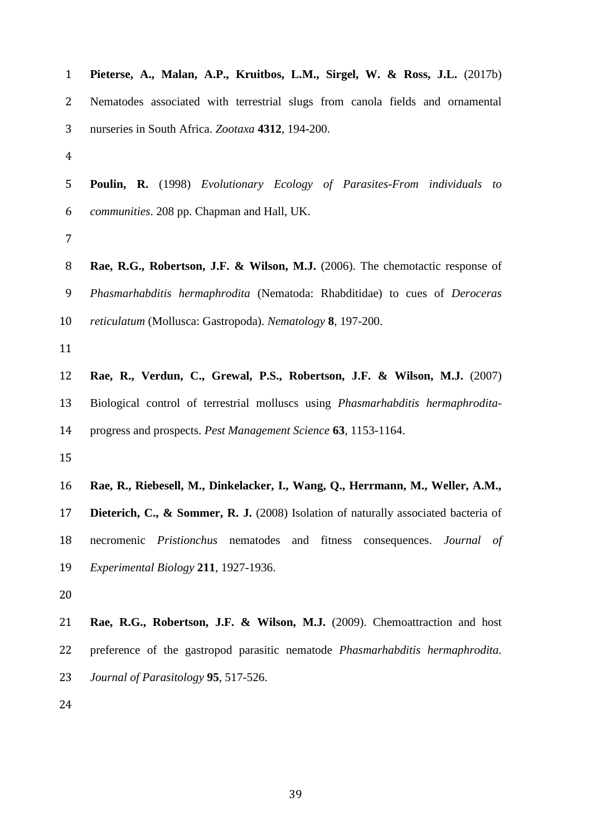| $\mathbf{1}$     | Pieterse, A., Malan, A.P., Kruitbos, L.M., Sirgel, W. & Ross, J.L. (2017b)                           |
|------------------|------------------------------------------------------------------------------------------------------|
| $\overline{2}$   | Nematodes associated with terrestrial slugs from canola fields and ornamental                        |
| 3                | nurseries in South Africa. Zootaxa 4312, 194-200.                                                    |
| $\overline{4}$   |                                                                                                      |
| 5                | <b>Poulin, R.</b> (1998) Evolutionary Ecology of Parasites-From individuals<br>to                    |
| 6                | communities. 208 pp. Chapman and Hall, UK.                                                           |
| $\overline{7}$   |                                                                                                      |
| 8                | Rae, R.G., Robertson, J.F. & Wilson, M.J. (2006). The chemotactic response of                        |
| $\boldsymbol{9}$ | Phasmarhabditis hermaphrodita (Nematoda: Rhabditidae) to cues of Deroceras                           |
| 10               | reticulatum (Mollusca: Gastropoda). Nematology 8, 197-200.                                           |
| 11               |                                                                                                      |
| 12               | Rae, R., Verdun, C., Grewal, P.S., Robertson, J.F. & Wilson, M.J. (2007)                             |
| 13               | Biological control of terrestrial molluscs using Phasmarhabditis hermaphrodita-                      |
| 14               | progress and prospects. Pest Management Science 63, 1153-1164.                                       |
| 15               |                                                                                                      |
| 16               | Rae, R., Riebesell, M., Dinkelacker, I., Wang, Q., Herrmann, M., Weller, A.M.,                       |
| 17               | Dieterich, C., & Sommer, R. J. (2008) Isolation of naturally associated bacteria of                  |
| 18               | necromenic Pristionchus<br>nematodes<br>fitness<br>and<br>consequences. <i>Journal</i><br>$\sigma f$ |
| 19               | Experimental Biology 211, 1927-1936.                                                                 |
| 20               |                                                                                                      |
| 21               | Rae, R.G., Robertson, J.F. & Wilson, M.J. (2009). Chemoattraction and host                           |
| 22               | preference of the gastropod parasitic nematode <i>Phasmarhabditis hermaphrodita</i> .                |
| 23               | Journal of Parasitology 95, 517-526.                                                                 |
|                  |                                                                                                      |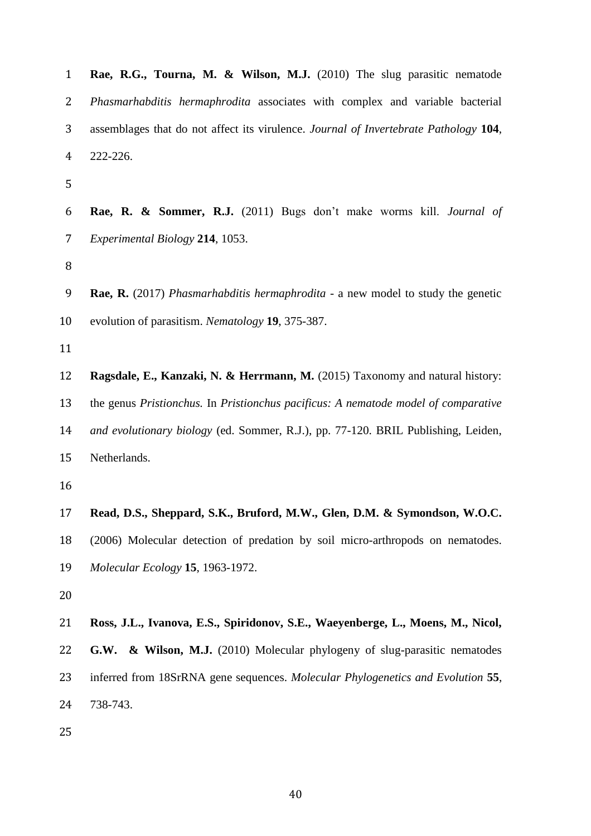| $\mathbf{1}$   | Rae, R.G., Tourna, M. & Wilson, M.J. (2010) The slug parasitic nematode                       |
|----------------|-----------------------------------------------------------------------------------------------|
| $\overline{2}$ | Phasmarhabditis hermaphrodita associates with complex and variable bacterial                  |
| 3              | assemblages that do not affect its virulence. Journal of Invertebrate Pathology 104,          |
| $\overline{4}$ | 222-226.                                                                                      |
| 5              |                                                                                               |
| 6              | Rae, R. & Sommer, R.J. (2011) Bugs don't make worms kill. Journal of                          |
| 7              | Experimental Biology 214, 1053.                                                               |
| $\, 8$         |                                                                                               |
| 9              | <b>Rae, R.</b> (2017) <i>Phasmarhabditis hermaphrodita</i> - a new model to study the genetic |
| 10             | evolution of parasitism. Nematology 19, 375-387.                                              |
| 11             |                                                                                               |
| 12             | Ragsdale, E., Kanzaki, N. & Herrmann, M. (2015) Taxonomy and natural history:                 |
| 13             | the genus Pristionchus. In Pristionchus pacificus: A nematode model of comparative            |
| 14             | and evolutionary biology (ed. Sommer, R.J.), pp. 77-120. BRIL Publishing, Leiden,             |
| 15             | Netherlands.                                                                                  |
| 16             |                                                                                               |
| 17             | Read, D.S., Sheppard, S.K., Bruford, M.W., Glen, D.M. & Symondson, W.O.C.                     |
| 18             | (2006) Molecular detection of predation by soil micro-arthropods on nematodes.                |
| 19             | Molecular Ecology 15, 1963-1972.                                                              |
| 20             |                                                                                               |
| 21             | Ross, J.L., Ivanova, E.S., Spiridonov, S.E., Waeyenberge, L., Moens, M., Nicol,               |
| 22             | G.W. & Wilson, M.J. (2010) Molecular phylogeny of slug-parasitic nematodes                    |
| 23             | inferred from 18SrRNA gene sequences. Molecular Phylogenetics and Evolution 55,               |
| 24             | 738-743.                                                                                      |
| 25             |                                                                                               |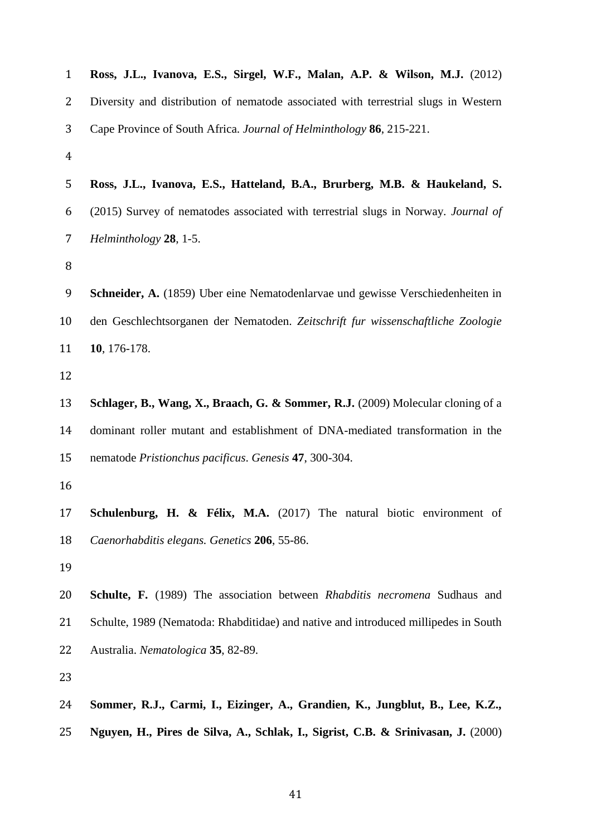| $\mathbf{1}$   | Ross, J.L., Ivanova, E.S., Sirgel, W.F., Malan, A.P. & Wilson, M.J. (2012)               |
|----------------|------------------------------------------------------------------------------------------|
| $\overline{2}$ | Diversity and distribution of nematode associated with terrestrial slugs in Western      |
| 3              | Cape Province of South Africa. Journal of Helminthology 86, 215-221.                     |
| $\overline{4}$ |                                                                                          |
| 5              | Ross, J.L., Ivanova, E.S., Hatteland, B.A., Brurberg, M.B. & Haukeland, S.               |
| 6              | (2015) Survey of nematodes associated with terrestrial slugs in Norway. Journal of       |
| 7              | Helminthology 28, 1-5.                                                                   |
| 8              |                                                                                          |
| 9              | Schneider, A. (1859) Uber eine Nematodenlarvae und gewisse Verschiedenheiten in          |
| 10             | den Geschlechtsorganen der Nematoden. Zeitschrift fur wissenschaftliche Zoologie         |
| 11             | 10, 176-178.                                                                             |
| 12             |                                                                                          |
| 13             | Schlager, B., Wang, X., Braach, G. & Sommer, R.J. (2009) Molecular cloning of a          |
| 14             | dominant roller mutant and establishment of DNA-mediated transformation in the           |
| 15             | nematode Pristionchus pacificus. Genesis 47, 300-304.                                    |
| 16             |                                                                                          |
| 17             | Schulenburg, H. & Félix, M.A. (2017) The natural biotic environment of                   |
| 18             | Caenorhabditis elegans. Genetics 206, 55-86.                                             |
| 19             |                                                                                          |
| 20             | <b>Schulte, F.</b> (1989) The association between <i>Rhabditis necromena</i> Sudhaus and |
| 21             | Schulte, 1989 (Nematoda: Rhabditidae) and native and introduced millipedes in South      |
| 22             | Australia. Nematologica 35, 82-89.                                                       |
| 23             |                                                                                          |
| 24             | Sommer, R.J., Carmi, I., Eizinger, A., Grandien, K., Jungblut, B., Lee, K.Z.,            |
| 25             | Nguyen, H., Pires de Silva, A., Schlak, I., Sigrist, C.B. & Srinivasan, J. (2000)        |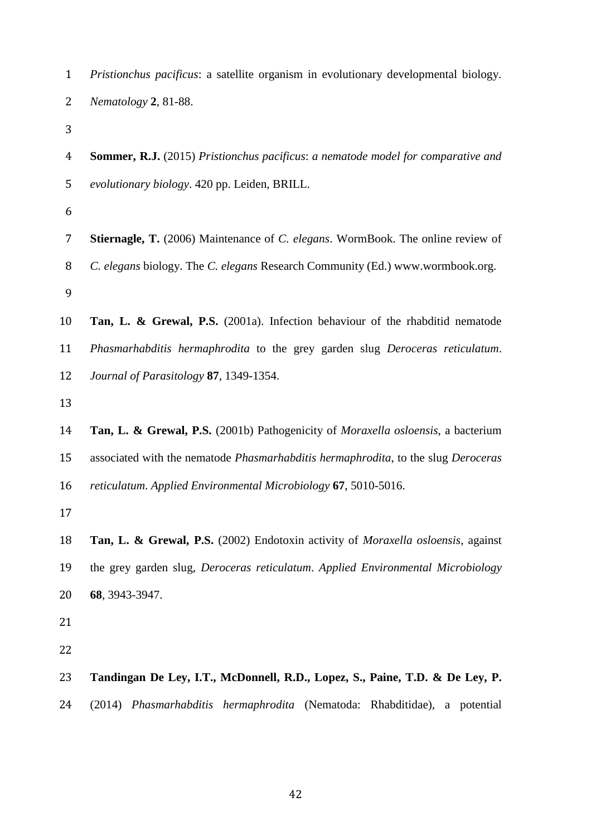| $\mathbf{1}$ | Pristionchus pacificus: a satellite organism in evolutionary developmental biology.            |
|--------------|------------------------------------------------------------------------------------------------|
| 2            | Nematology 2, 81-88.                                                                           |
| 3            |                                                                                                |
| 4            | <b>Sommer, R.J.</b> (2015) Pristionchus pacificus: a nematode model for comparative and        |
| 5            | evolutionary biology. 420 pp. Leiden, BRILL.                                                   |
| 6            |                                                                                                |
| 7            | <b>Stiernagle, T.</b> (2006) Maintenance of <i>C. elegans</i> . WormBook. The online review of |
| $\, 8$       | C. elegans biology. The C. elegans Research Community (Ed.) www.wormbook.org.                  |
| 9            |                                                                                                |
| 10           | Tan, L. & Grewal, P.S. (2001a). Infection behaviour of the rhabditid nematode                  |
| 11           | Phasmarhabditis hermaphrodita to the grey garden slug Deroceras reticulatum.                   |
| 12           | Journal of Parasitology 87, 1349-1354.                                                         |
| 13           |                                                                                                |
| 14           | Tan, L. & Grewal, P.S. (2001b) Pathogenicity of Moraxella osloensis, a bacterium               |
| 15           | associated with the nematode Phasmarhabditis hermaphrodita, to the slug Deroceras              |
| 16           | reticulatum. Applied Environmental Microbiology 67, 5010-5016.                                 |
| 17           |                                                                                                |
| 18           | Tan, L. & Grewal, P.S. (2002) Endotoxin activity of Moraxella osloensis, against               |
| 19           | the grey garden slug, Deroceras reticulatum. Applied Environmental Microbiology                |
| 20           | 68, 3943-3947.                                                                                 |
| 21           |                                                                                                |
| 22           |                                                                                                |
| 23           | Tandingan De Ley, I.T., McDonnell, R.D., Lopez, S., Paine, T.D. & De Ley, P.                   |
| 24           | (2014) Phasmarhabditis hermaphrodita (Nematoda: Rhabditidae), a potential                      |
|              |                                                                                                |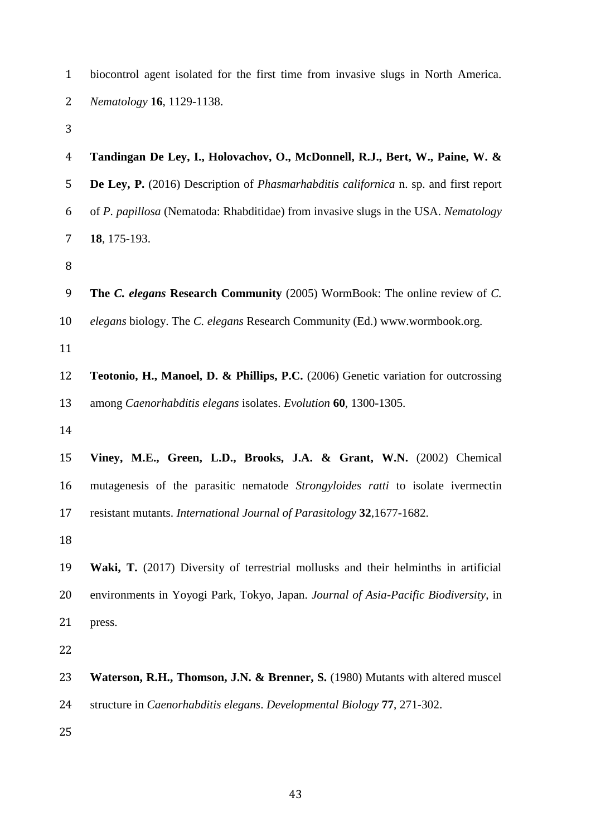| $\mathbf{1}$   | biocontrol agent isolated for the first time from invasive slugs in North America.     |
|----------------|----------------------------------------------------------------------------------------|
| $\overline{2}$ | Nematology 16, 1129-1138.                                                              |
| 3              |                                                                                        |
| $\overline{4}$ | Tandingan De Ley, I., Holovachov, O., McDonnell, R.J., Bert, W., Paine, W. &           |
| 5              | De Ley, P. (2016) Description of Phasmarhabditis californica n. sp. and first report   |
| 6              | of P. papillosa (Nematoda: Rhabditidae) from invasive slugs in the USA. Nematology     |
| 7              | 18, 175-193.                                                                           |
| 8              |                                                                                        |
| 9              | The C. elegans Research Community (2005) WormBook: The online review of C.             |
| 10             | elegans biology. The C. elegans Research Community (Ed.) www.wormbook.org.             |
| 11             |                                                                                        |
| 12             | Teotonio, H., Manoel, D. & Phillips, P.C. (2006) Genetic variation for outcrossing     |
| 13             | among Caenorhabditis elegans isolates. Evolution 60, 1300-1305.                        |
| 14             |                                                                                        |
| 15             | Viney, M.E., Green, L.D., Brooks, J.A. & Grant, W.N. (2002) Chemical                   |
| 16             | mutagenesis of the parasitic nematode <i>Strongyloides ratti</i> to isolate ivermectin |
| 17             | resistant mutants. International Journal of Parasitology 32,1677-1682.                 |
| 18             |                                                                                        |
| 19             | Waki, T. (2017) Diversity of terrestrial mollusks and their helminths in artificial    |
| 20             | environments in Yoyogi Park, Tokyo, Japan. Journal of Asia-Pacific Biodiversity, in    |
| 21             | press.                                                                                 |
| 22             |                                                                                        |
| 23             | Waterson, R.H., Thomson, J.N. & Brenner, S. (1980) Mutants with altered muscel         |
| 24             | structure in Caenorhabditis elegans. Developmental Biology 77, 271-302.                |
| 25             |                                                                                        |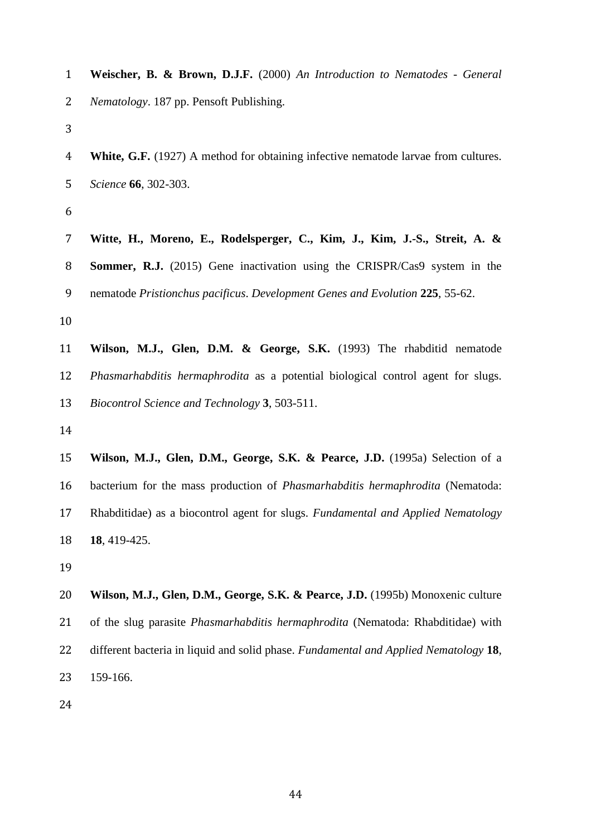| $\mathbf{1}$   | Weischer, B. & Brown, D.J.F. (2000) An Introduction to Nematodes - General             |
|----------------|----------------------------------------------------------------------------------------|
| $\overline{2}$ | Nematology. 187 pp. Pensoft Publishing.                                                |
| 3              |                                                                                        |
| 4              | White, G.F. (1927) A method for obtaining infective nematode larvae from cultures.     |
| 5              | Science 66, 302-303.                                                                   |
| 6              |                                                                                        |
| 7              | Witte, H., Moreno, E., Rodelsperger, C., Kim, J., Kim, J.-S., Streit, A. &             |
| 8              | <b>Sommer, R.J.</b> (2015) Gene inactivation using the CRISPR/Cas9 system in the       |
| 9              | nematode Pristionchus pacificus. Development Genes and Evolution 225, 55-62.           |
| 10             |                                                                                        |
| 11             | Wilson, M.J., Glen, D.M. & George, S.K. (1993) The rhabditid nematode                  |
| 12             | Phasmarhabditis hermaphrodita as a potential biological control agent for slugs.       |
| 13             | Biocontrol Science and Technology 3, 503-511.                                          |
| 14             |                                                                                        |
| 15             | Wilson, M.J., Glen, D.M., George, S.K. & Pearce, J.D. (1995a) Selection of a           |
| 16             | bacterium for the mass production of Phasmarhabditis hermaphrodita (Nematoda:          |
| 17             | Rhabditidae) as a biocontrol agent for slugs. Fundamental and Applied Nematology       |
| 18             | 18, 419-425.                                                                           |
| 19             |                                                                                        |
| 20             | Wilson, M.J., Glen, D.M., George, S.K. & Pearce, J.D. (1995b) Monoxenic culture        |
| 21             | of the slug parasite <i>Phasmarhabditis hermaphrodita</i> (Nematoda: Rhabditidae) with |
| 22             | different bacteria in liquid and solid phase. Fundamental and Applied Nematology 18,   |
| 23             | 159-166.                                                                               |
| 24             |                                                                                        |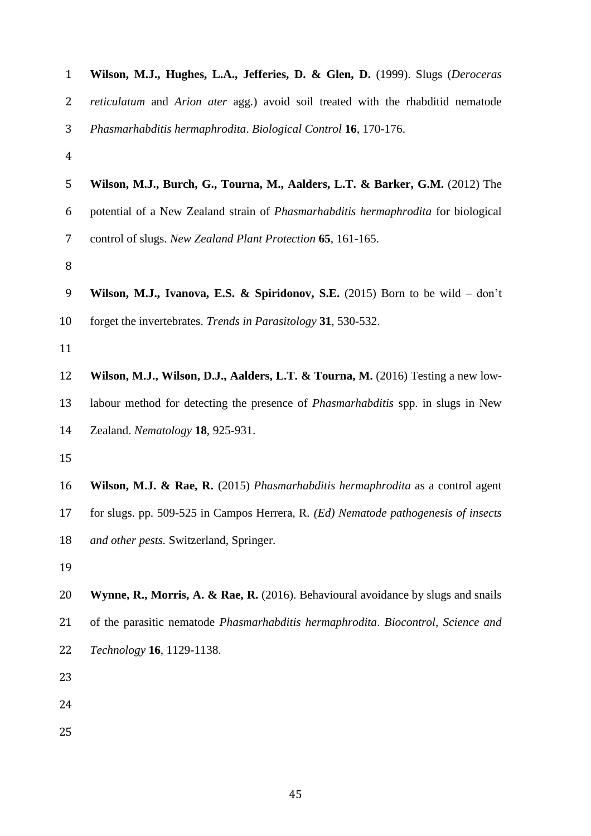| $\mathbf{1}$   | Wilson, M.J., Hughes, L.A., Jefferies, D. & Glen, D. (1999). Slugs (Deroceras      |
|----------------|------------------------------------------------------------------------------------|
| $\overline{2}$ | reticulatum and Arion ater agg.) avoid soil treated with the rhabditid nematode    |
| 3              | Phasmarhabditis hermaphrodita. Biological Control 16, 170-176.                     |
| $\overline{4}$ |                                                                                    |
| 5              | Wilson, M.J., Burch, G., Tourna, M., Aalders, L.T. & Barker, G.M. (2012) The       |
| 6              | potential of a New Zealand strain of Phasmarhabditis hermaphrodita for biological  |
| $\overline{7}$ | control of slugs. New Zealand Plant Protection 65, 161-165.                        |
| 8              |                                                                                    |
| 9              | Wilson, M.J., Ivanova, E.S. & Spiridonov, S.E. $(2015)$ Born to be wild – don't    |
| 10             | forget the invertebrates. Trends in Parasitology 31, 530-532.                      |
| 11             |                                                                                    |
| 12             | Wilson, M.J., Wilson, D.J., Aalders, L.T. & Tourna, M. (2016) Testing a new low-   |
| 13             | labour method for detecting the presence of Phasmarhabditis spp. in slugs in New   |
| 14             | Zealand. Nematology 18, 925-931.                                                   |
| 15             |                                                                                    |
| 16             | Wilson, M.J. & Rae, R. (2015) Phasmarhabditis hermaphrodita as a control agent     |
| 17             | for slugs. pp. 509-525 in Campos Herrera, R. (Ed) Nematode pathogenesis of insects |
| 18             | and other pests. Switzerland, Springer.                                            |
| 19             |                                                                                    |
| 20             | Wynne, R., Morris, A. & Rae, R. (2016). Behavioural avoidance by slugs and snails  |
| 21             | of the parasitic nematode Phasmarhabditis hermaphrodita. Biocontrol, Science and   |
| 22             | Technology 16, 1129-1138.                                                          |
| 23             |                                                                                    |
| 24             |                                                                                    |
| 25             |                                                                                    |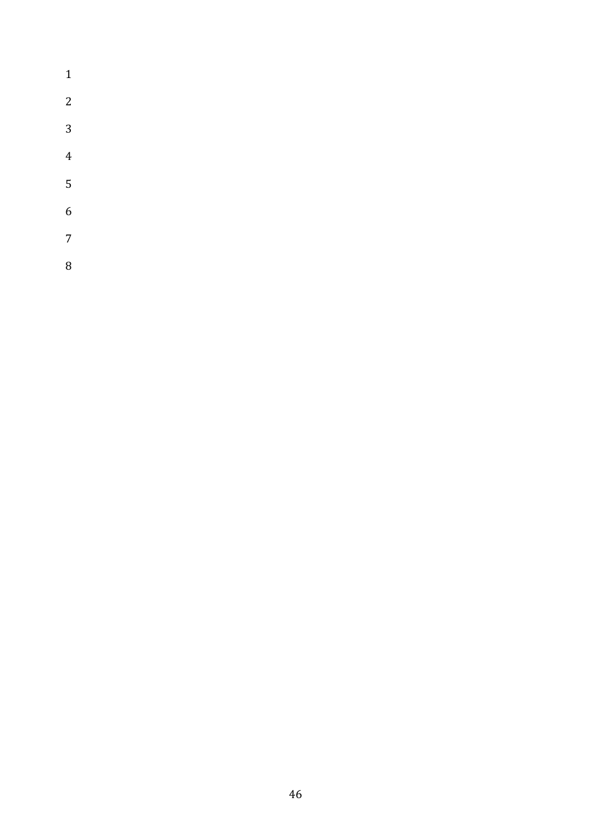- $\mathbf{1}$ 12345678 $\overline{c}$  $\overline{3}$  $\overline{4}$  $\overline{5}$  $\overline{6}$  $\overline{7}$
- $\overline{8}$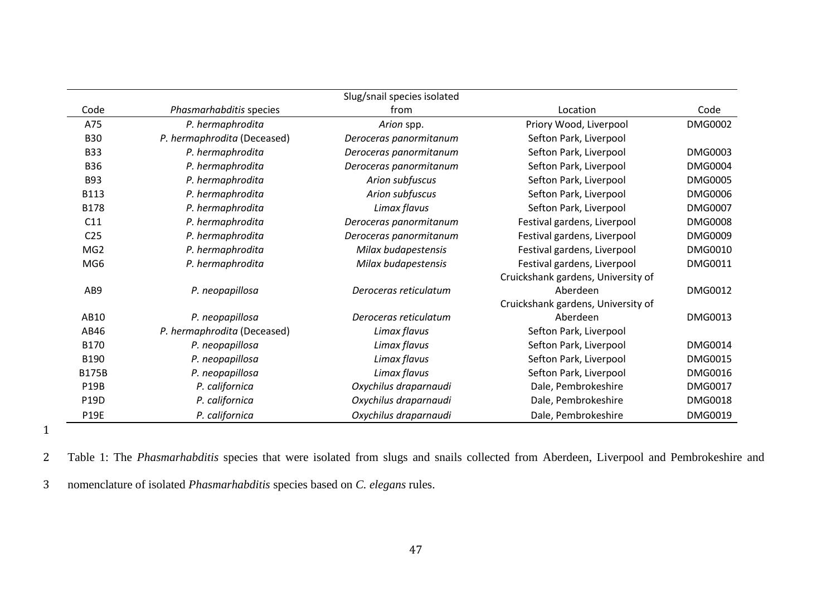| Slug/snail species isolated |                             |                        |                                    |                |  |  |  |
|-----------------------------|-----------------------------|------------------------|------------------------------------|----------------|--|--|--|
| Code                        | Phasmarhabditis species     | from                   | Location                           | Code           |  |  |  |
| A75                         | P. hermaphrodita            | Arion spp.             | Priory Wood, Liverpool             | <b>DMG0002</b> |  |  |  |
| <b>B30</b>                  | P. hermaphrodita (Deceased) | Deroceras panormitanum | Sefton Park, Liverpool             |                |  |  |  |
| <b>B33</b>                  | P. hermaphrodita            | Deroceras panormitanum | Sefton Park, Liverpool             | <b>DMG0003</b> |  |  |  |
| <b>B36</b>                  | P. hermaphrodita            | Deroceras panormitanum | Sefton Park, Liverpool             | <b>DMG0004</b> |  |  |  |
| <b>B93</b>                  | P. hermaphrodita            | Arion subfuscus        | Sefton Park, Liverpool             | <b>DMG0005</b> |  |  |  |
| <b>B113</b>                 | P. hermaphrodita            | Arion subfuscus        | Sefton Park, Liverpool             | <b>DMG0006</b> |  |  |  |
| <b>B178</b>                 | P. hermaphrodita            | Limax flavus           | Sefton Park, Liverpool             | <b>DMG0007</b> |  |  |  |
| C11                         | P. hermaphrodita            | Deroceras panormitanum | Festival gardens, Liverpool        | <b>DMG0008</b> |  |  |  |
| C <sub>25</sub>             | P. hermaphrodita            | Deroceras panormitanum | Festival gardens, Liverpool        | <b>DMG0009</b> |  |  |  |
| MG <sub>2</sub>             | P. hermaphrodita            | Milax budapestensis    | Festival gardens, Liverpool        | DMG0010        |  |  |  |
| MG <sub>6</sub>             | P. hermaphrodita            | Milax budapestensis    | Festival gardens, Liverpool        | DMG0011        |  |  |  |
|                             |                             |                        | Cruickshank gardens, University of |                |  |  |  |
| AB9<br>P. neopapillosa      |                             | Deroceras reticulatum  | Aberdeen                           | <b>DMG0012</b> |  |  |  |
|                             |                             |                        | Cruickshank gardens, University of |                |  |  |  |
| AB10                        | P. neopapillosa             | Deroceras reticulatum  | Aberdeen                           | DMG0013        |  |  |  |
| AB46                        | P. hermaphrodita (Deceased) | Limax flavus           | Sefton Park, Liverpool             |                |  |  |  |
| <b>B170</b>                 | P. neopapillosa             | Limax flavus           | Sefton Park, Liverpool             | <b>DMG0014</b> |  |  |  |
| B190                        | P. neopapillosa             | Limax flavus           | Sefton Park, Liverpool             | <b>DMG0015</b> |  |  |  |
| <b>B175B</b>                | P. neopapillosa             | Limax flavus           | Sefton Park, Liverpool             | DMG0016        |  |  |  |
| <b>P19B</b>                 | P. californica              | Oxychilus draparnaudi  | Dale, Pembrokeshire                | <b>DMG0017</b> |  |  |  |
| P19D                        | P. californica              | Oxychilus draparnaudi  | Dale, Pembrokeshire                | <b>DMG0018</b> |  |  |  |
| <b>P19E</b>                 | P. californica              | Oxychilus draparnaudi  | Dale, Pembrokeshire                | DMG0019        |  |  |  |

2 Table 1: The *Phasmarhabditis* species that were isolated from slugs and snails collected from Aberdeen, Liverpool and Pembrokeshire and

3 nomenclature of isolated *Phasmarhabditis* species based on *C. elegans* rules.